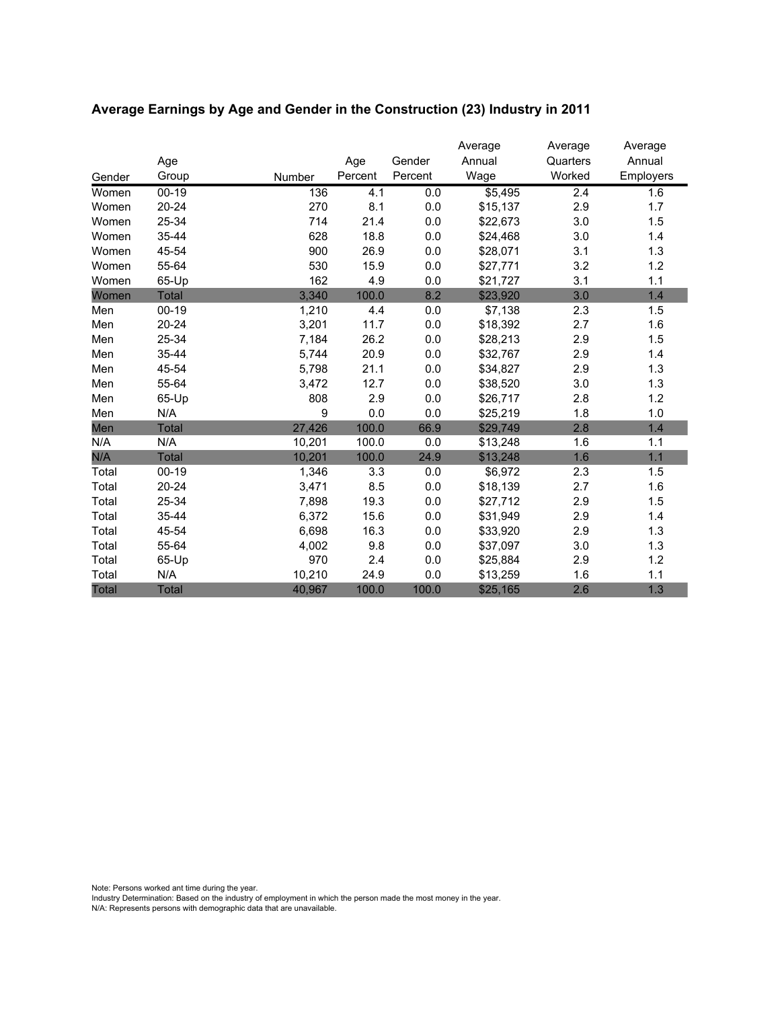|              |              |        |         |         | Average  | Average  | Average   |
|--------------|--------------|--------|---------|---------|----------|----------|-----------|
|              | Age          |        | Age     | Gender  | Annual   | Quarters | Annual    |
| Gender       | Group        | Number | Percent | Percent | Wage     | Worked   | Employers |
| Women        | $00 - 19$    | 136    | 4.1     | 0.0     | \$5,495  | 2.4      | 1.6       |
| Women        | $20 - 24$    | 270    | 8.1     | 0.0     | \$15,137 | 2.9      | 1.7       |
| Women        | 25-34        | 714    | 21.4    | 0.0     | \$22,673 | 3.0      | 1.5       |
| Women        | 35-44        | 628    | 18.8    | 0.0     | \$24,468 | 3.0      | 1.4       |
| Women        | 45-54        | 900    | 26.9    | 0.0     | \$28,071 | 3.1      | 1.3       |
| Women        | 55-64        | 530    | 15.9    | 0.0     | \$27,771 | 3.2      | 1.2       |
| Women        | 65-Up        | 162    | 4.9     | 0.0     | \$21,727 | 3.1      | 1.1       |
| Women        | Total        | 3,340  | 100.0   | 8.2     | \$23,920 | 3.0      | 1.4       |
| Men          | $00 - 19$    | 1,210  | 4.4     | 0.0     | \$7,138  | 2.3      | 1.5       |
| Men          | 20-24        | 3,201  | 11.7    | 0.0     | \$18,392 | 2.7      | 1.6       |
| Men          | 25-34        | 7,184  | 26.2    | 0.0     | \$28,213 | 2.9      | 1.5       |
| Men          | 35-44        | 5,744  | 20.9    | 0.0     | \$32,767 | 2.9      | 1.4       |
| Men          | 45-54        | 5,798  | 21.1    | 0.0     | \$34,827 | 2.9      | 1.3       |
| Men          | 55-64        | 3,472  | 12.7    | 0.0     | \$38,520 | 3.0      | 1.3       |
| Men          | 65-Up        | 808    | 2.9     | 0.0     | \$26,717 | 2.8      | 1.2       |
| Men          | N/A          | 9      | 0.0     | 0.0     | \$25,219 | 1.8      | 1.0       |
| Men          | <b>Total</b> | 27,426 | 100.0   | 66.9    | \$29,749 | 2.8      | 1.4       |
| N/A          | N/A          | 10,201 | 100.0   | 0.0     | \$13,248 | 1.6      | 1.1       |
| N/A          | <b>Total</b> | 10,201 | 100.0   | 24.9    | \$13,248 | 1.6      | 1.1       |
| Total        | $00-19$      | 1,346  | 3.3     | 0.0     | \$6,972  | 2.3      | 1.5       |
| Total        | 20-24        | 3,471  | 8.5     | 0.0     | \$18,139 | 2.7      | 1.6       |
| Total        | 25-34        | 7,898  | 19.3    | 0.0     | \$27,712 | 2.9      | 1.5       |
| Total        | 35-44        | 6,372  | 15.6    | 0.0     | \$31,949 | 2.9      | 1.4       |
| Total        | 45-54        | 6,698  | 16.3    | 0.0     | \$33,920 | 2.9      | 1.3       |
| Total        | 55-64        | 4,002  | 9.8     | 0.0     | \$37,097 | 3.0      | 1.3       |
| Total        | 65-Up        | 970    | 2.4     | 0.0     | \$25,884 | 2.9      | 1.2       |
| Total        | N/A          | 10,210 | 24.9    | 0.0     | \$13,259 | 1.6      | 1.1       |
| <b>Total</b> | <b>Total</b> | 40,967 | 100.0   | 100.0   | \$25,165 | 2.6      | 1.3       |

# **Average Earnings by Age and Gender in the Construction (23) Industry in 2011**

Note: Persons worked ant time during the year.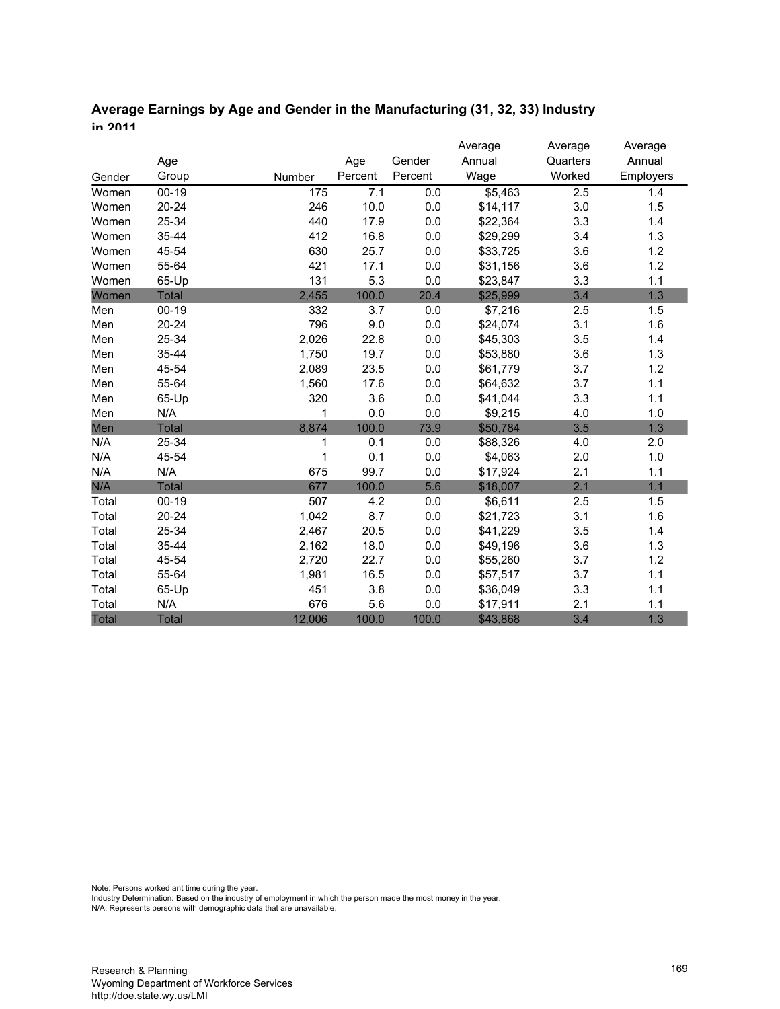| Average Earnings by Age and Gender in the Manufacturing (31, 32, 33) Industry |  |
|-------------------------------------------------------------------------------|--|
| in 2011                                                                       |  |

|              |              |        |         |         | Average  | Average  | Average   |
|--------------|--------------|--------|---------|---------|----------|----------|-----------|
|              | Age          |        | Age     | Gender  | Annual   | Quarters | Annual    |
| Gender       | Group        | Number | Percent | Percent | Wage     | Worked   | Employers |
| Women        | $00 - 19$    | 175    | 7.1     | 0.0     | \$5,463  | 2.5      | 1.4       |
| Women        | $20 - 24$    | 246    | 10.0    | 0.0     | \$14,117 | 3.0      | 1.5       |
| Women        | 25-34        | 440    | 17.9    | 0.0     | \$22,364 | 3.3      | 1.4       |
| Women        | 35-44        | 412    | 16.8    | 0.0     | \$29,299 | 3.4      | 1.3       |
| Women        | 45-54        | 630    | 25.7    | 0.0     | \$33,725 | 3.6      | 1.2       |
| Women        | 55-64        | 421    | 17.1    | 0.0     | \$31,156 | 3.6      | 1.2       |
| Women        | 65-Up        | 131    | 5.3     | 0.0     | \$23,847 | 3.3      | 1.1       |
| Women        | <b>Total</b> | 2,455  | 100.0   | 20.4    | \$25,999 | 3.4      | 1.3       |
| Men          | $00 - 19$    | 332    | 3.7     | 0.0     | \$7,216  | 2.5      | 1.5       |
| Men          | $20 - 24$    | 796    | 9.0     | 0.0     | \$24,074 | 3.1      | 1.6       |
| Men          | 25-34        | 2,026  | 22.8    | 0.0     | \$45,303 | 3.5      | 1.4       |
| Men          | 35-44        | 1,750  | 19.7    | 0.0     | \$53,880 | 3.6      | 1.3       |
| Men          | 45-54        | 2,089  | 23.5    | 0.0     | \$61,779 | 3.7      | 1.2       |
| Men          | 55-64        | 1,560  | 17.6    | 0.0     | \$64,632 | 3.7      | 1.1       |
| Men          | 65-Up        | 320    | 3.6     | 0.0     | \$41,044 | 3.3      | 1.1       |
| Men          | N/A          | 1      | 0.0     | 0.0     | \$9,215  | 4.0      | 1.0       |
| Men          | <b>Total</b> | 8,874  | 100.0   | 73.9    | \$50,784 | 3.5      | 1.3       |
| N/A          | 25-34        | 1      | 0.1     | 0.0     | \$88,326 | 4.0      | 2.0       |
| N/A          | 45-54        | 1      | 0.1     | 0.0     | \$4,063  | 2.0      | 1.0       |
| N/A          | N/A          | 675    | 99.7    | 0.0     | \$17,924 | 2.1      | 1.1       |
| N/A          | <b>Total</b> | 677    | 100.0   | 5.6     | \$18,007 | 2.1      | 1.1       |
| Total        | $00 - 19$    | 507    | 4.2     | 0.0     | \$6,611  | 2.5      | 1.5       |
| Total        | $20 - 24$    | 1,042  | 8.7     | 0.0     | \$21,723 | 3.1      | 1.6       |
| Total        | 25-34        | 2,467  | 20.5    | 0.0     | \$41,229 | 3.5      | 1.4       |
| Total        | 35-44        | 2,162  | 18.0    | 0.0     | \$49,196 | 3.6      | 1.3       |
| Total        | 45-54        | 2,720  | 22.7    | 0.0     | \$55,260 | 3.7      | 1.2       |
| Total        | 55-64        | 1,981  | 16.5    | 0.0     | \$57,517 | 3.7      | 1.1       |
| Total        | 65-Up        | 451    | 3.8     | 0.0     | \$36,049 | 3.3      | 1.1       |
| Total        | N/A          | 676    | 5.6     | 0.0     | \$17,911 | 2.1      | 1.1       |
| <b>Total</b> | <b>Total</b> | 12,006 | 100.0   | 100.0   | \$43,868 | 3.4      | 1.3       |

Note: Persons worked ant time during the year.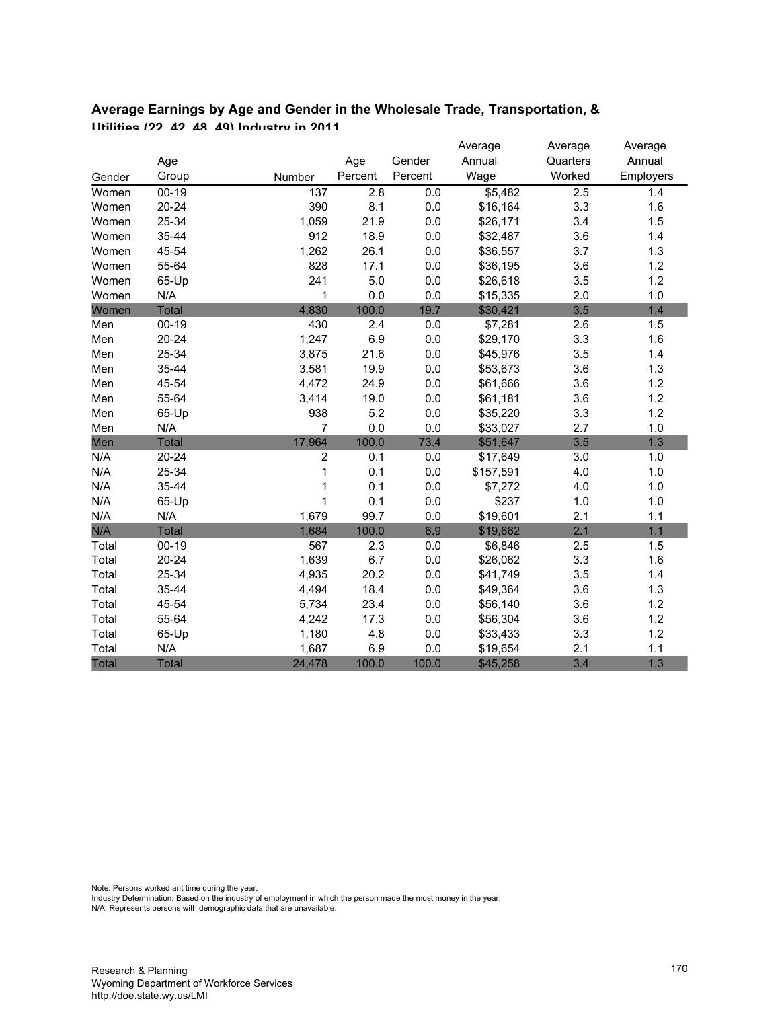| $I$ Itilities (22 A2 A8 A9) Industry in 2011 |           |  |        |         |         |          |          |                  |  |  |  |  |
|----------------------------------------------|-----------|--|--------|---------|---------|----------|----------|------------------|--|--|--|--|
|                                              |           |  |        |         |         | Average  | Average  | Average          |  |  |  |  |
|                                              | Age       |  |        | Age     | Gender  | Annual   | Quarters | Annual           |  |  |  |  |
| Gender                                       | Group     |  | Number | Percent | Percent | Waqe     | Worked   | <b>Employers</b> |  |  |  |  |
| Women                                        | $00-19$   |  | 137    | 2.8     | 0.0     | \$5.482  | 2.5      | 1.4              |  |  |  |  |
| Women                                        | $20 - 24$ |  | 390    | 8.1     | 0.0     | \$16,164 | 3.3      | 1.6              |  |  |  |  |
| Women                                        | 25-34     |  | 1.059  | 21.9    | 0.0     | \$26.171 | 3.4      | 1.5              |  |  |  |  |
| Women                                        | 35-44     |  | 912    | 18.9    | 0.0     | \$32,487 | 3.6      | 1.4              |  |  |  |  |

Women 45-54 1,262 26.1 0.0 \$36,557 3.7 1.3 Women 55-64 828 17.1 0.0 \$36,195 3.6 1.2 Women 65-Up 241 5.0 0.0 \$26,618 3.5 1.2 Women N/A 1 0.0 0.0 \$15,335 2.0 1.0 Women Total 4,830 100.0 19.7 \$30,421 3.5 1.4 Men 00-19 430 2.4 0.0 \$7,281 2.6 1.5 Men 20-24 1,247 6.9 0.0 \$29,170 3.3 1.6 Men 25-34 3,875 21.6 0.0 \$45,976 3.5 1.4 Men 35-44 3,581 19.9 0.0 \$53,673 3.6 1.3 Men 45-54 4,472 24.9 0.0 \$61,666 3.6 1.2 Men 55-64 3,414 19.0 0.0 \$61,181 3.6 1.2 Men 65-Up 938 5.2 0.0 \$35,220 3.3 1.2 Men N/A 7 0.0 0.0 \$33,027 2.7 1.0 Men Total 17,964 100.0 73.4 \$51,647 3.5 1.3 N/A 20-24 2 0.1 0.0 \$17,649 3.0 1.0 N/A 25-34 1 0.1 0.0 \$157,591 4.0 1.0 N/A 35-44 1 0.1 0.0 \$7,272 4.0 1.0 N/A 65-Up 1 0.1 0.0 \$237 1.0 1.0 N/A N/A 1,679 99.7 0.0 \$19,601 2.1 1.1 N/A Total 1,684 100.0 6.9 \$19,662 2.1 1.1 Total 00-19 567 2.3 0.0 \$6,846 2.5 1.5 Total 20-24 1,639 6.7 0.0 \$26,062 3.3 1.6 Total 25-34 4,935 20.2 0.0 \$41,749 3.5 1.4 Total 35-44 4,494 18.4 0.0 \$49,364 3.6 1.3 Total 45-54 5,734 23.4 0.0 \$56,140 3.6 1.2 Total 55-64 4,242 17.3 0.0 \$56,304 3.6 1.2 Total 65-Up 1,180 4.8 0.0 \$33,433 3.3 1.2 Total N/A 1,687 6.9 0.0 \$19,654 2.1 1.1 Total Total 24,478 100.0 100.0 \$45,258 3.4 1.3

# **Average Earnings by Age and Gender in the Wholesale Trade, Transportation, &**

Note: Persons worked ant time during the year.

Industry Determination: Based on the industry of employment in which the person made the most money in the year.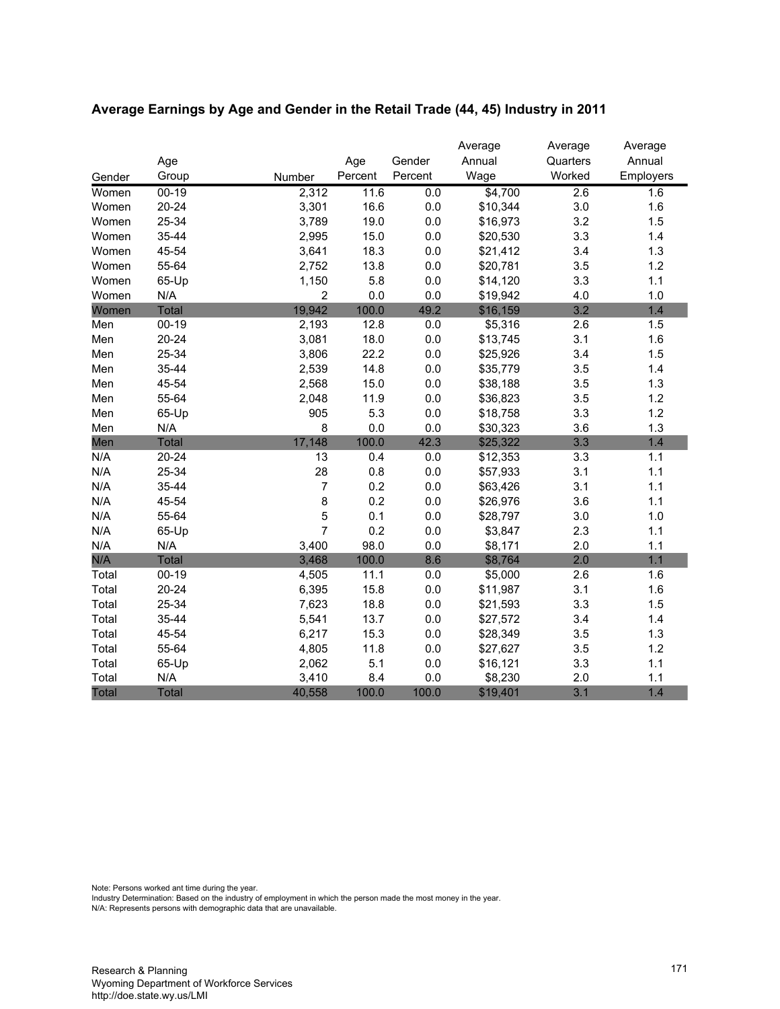|        |              |                |         |         | Average  | Average  | Average   |
|--------|--------------|----------------|---------|---------|----------|----------|-----------|
|        | Age          |                | Age     | Gender  | Annual   | Quarters | Annual    |
| Gender | Group        | Number         | Percent | Percent | Wage     | Worked   | Employers |
| Women  | $00 - 19$    | 2,312          | 11.6    | 0.0     | \$4,700  | 2.6      | 1.6       |
| Women  | $20 - 24$    | 3,301          | 16.6    | 0.0     | \$10,344 | 3.0      | 1.6       |
| Women  | 25-34        | 3,789          | 19.0    | 0.0     | \$16,973 | 3.2      | 1.5       |
| Women  | 35-44        | 2,995          | 15.0    | 0.0     | \$20,530 | 3.3      | 1.4       |
| Women  | 45-54        | 3,641          | 18.3    | 0.0     | \$21,412 | 3.4      | 1.3       |
| Women  | 55-64        | 2,752          | 13.8    | 0.0     | \$20,781 | 3.5      | 1.2       |
| Women  | 65-Up        | 1,150          | 5.8     | 0.0     | \$14,120 | 3.3      | 1.1       |
| Women  | N/A          | $\overline{2}$ | 0.0     | 0.0     | \$19,942 | 4.0      | 1.0       |
| Women  | <b>Total</b> | 19,942         | 100.0   | 49.2    | \$16,159 | 3.2      | 1.4       |
| Men    | $00 - 19$    | 2,193          | 12.8    | 0.0     | \$5,316  | 2.6      | 1.5       |
| Men    | $20 - 24$    | 3,081          | 18.0    | 0.0     | \$13,745 | 3.1      | 1.6       |
| Men    | 25-34        | 3,806          | 22.2    | 0.0     | \$25,926 | 3.4      | 1.5       |
| Men    | 35-44        | 2,539          | 14.8    | 0.0     | \$35,779 | 3.5      | 1.4       |
| Men    | 45-54        | 2,568          | 15.0    | 0.0     | \$38,188 | 3.5      | 1.3       |
| Men    | 55-64        | 2,048          | 11.9    | 0.0     | \$36,823 | 3.5      | 1.2       |
| Men    | 65-Up        | 905            | 5.3     | 0.0     | \$18,758 | 3.3      | 1.2       |
| Men    | N/A          | 8              | 0.0     | 0.0     | \$30,323 | 3.6      | 1.3       |
| Men    | <b>Total</b> | 17,148         | 100.0   | 42.3    | \$25,322 | 3.3      | 1.4       |
| N/A    | $20 - 24$    | 13             | 0.4     | 0.0     | \$12,353 | 3.3      | 1.1       |
| N/A    | 25-34        | 28             | 0.8     | 0.0     | \$57,933 | 3.1      | 1.1       |
| N/A    | 35-44        | $\overline{7}$ | 0.2     | 0.0     | \$63,426 | 3.1      | 1.1       |
| N/A    | 45-54        | 8              | 0.2     | 0.0     | \$26,976 | 3.6      | 1.1       |
| N/A    | 55-64        | 5              | 0.1     | 0.0     | \$28,797 | 3.0      | 1.0       |
| N/A    | 65-Up        | $\overline{7}$ | 0.2     | 0.0     | \$3,847  | 2.3      | 1.1       |
| N/A    | N/A          | 3,400          | 98.0    | 0.0     | \$8,171  | 2.0      | 1.1       |
| N/A    | <b>Total</b> | 3,468          | 100.0   | 8.6     | \$8,764  | 2.0      | 1.1       |
| Total  | $00-19$      | 4,505          | 11.1    | $0.0\,$ | \$5,000  | 2.6      | 1.6       |
| Total  | $20 - 24$    | 6,395          | 15.8    | 0.0     | \$11,987 | 3.1      | 1.6       |
| Total  | 25-34        | 7,623          | 18.8    | 0.0     | \$21,593 | 3.3      | 1.5       |
| Total  | 35-44        | 5,541          | 13.7    | 0.0     | \$27,572 | 3.4      | 1.4       |
| Total  | 45-54        | 6,217          | 15.3    | $0.0\,$ | \$28,349 | 3.5      | 1.3       |
| Total  | 55-64        | 4,805          | 11.8    | 0.0     | \$27,627 | 3.5      | 1.2       |
| Total  | 65-Up        | 2,062          | 5.1     | $0.0\,$ | \$16,121 | 3.3      | 1.1       |
| Total  | N/A          | 3,410          | 8.4     | 0.0     | \$8,230  | 2.0      | 1.1       |
| Total  | <b>Total</b> | 40,558         | 100.0   | 100.0   | \$19,401 | 3.1      | 1.4       |

# **Average Earnings by Age and Gender in the Retail Trade (44, 45) Industry in 2011**

Note: Persons worked ant time during the year.

Industry Determination: Based on the industry of employment in which the person made the most money in the year.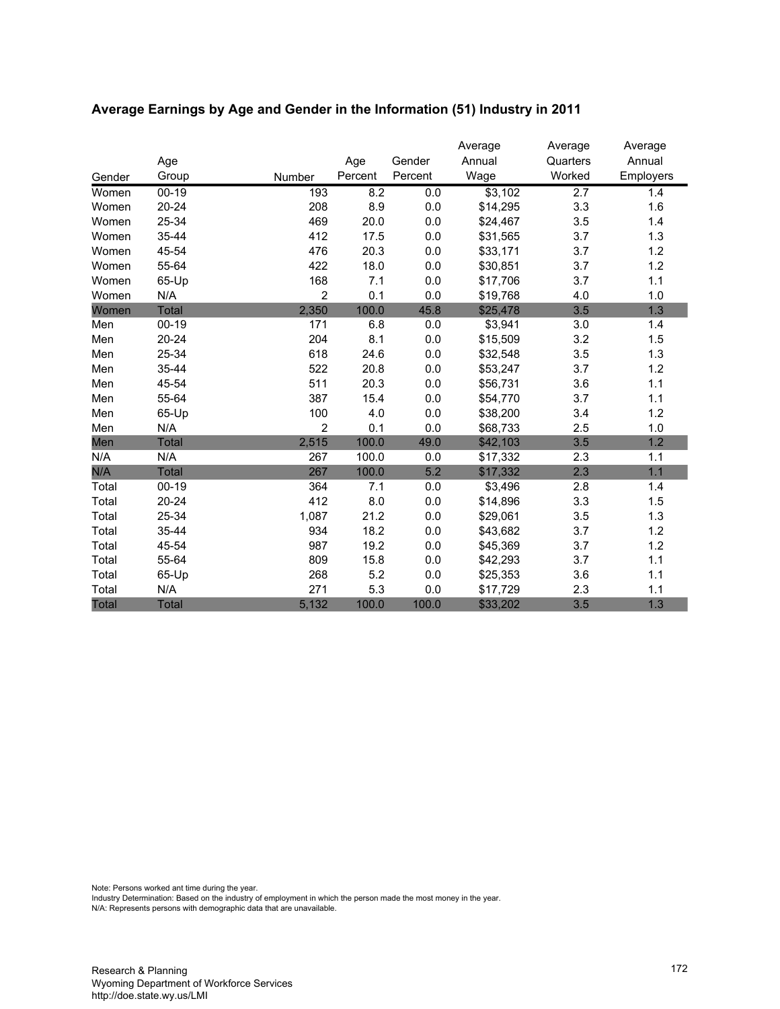|              |              |                |         |         | Average  | Average          | Average   |
|--------------|--------------|----------------|---------|---------|----------|------------------|-----------|
|              | Age          |                | Age     | Gender  | Annual   | Quarters         | Annual    |
| Gender       | Group        | Number         | Percent | Percent | Wage     | Worked           | Employers |
| Women        | $00 - 19$    | 193            | 8.2     | 0.0     | \$3,102  | $\overline{2.7}$ | 1.4       |
| Women        | 20-24        | 208            | 8.9     | 0.0     | \$14,295 | 3.3              | 1.6       |
| Women        | 25-34        | 469            | 20.0    | 0.0     | \$24,467 | 3.5              | 1.4       |
| Women        | 35-44        | 412            | 17.5    | 0.0     | \$31,565 | 3.7              | 1.3       |
| Women        | 45-54        | 476            | 20.3    | 0.0     | \$33,171 | 3.7              | 1.2       |
| Women        | 55-64        | 422            | 18.0    | 0.0     | \$30,851 | 3.7              | 1.2       |
| Women        | 65-Up        | 168            | 7.1     | 0.0     | \$17,706 | 3.7              | 1.1       |
| Women        | N/A          | $\overline{2}$ | 0.1     | 0.0     | \$19,768 | 4.0              | 1.0       |
| Women        | Total        | 2,350          | 100.0   | 45.8    | \$25,478 | 3.5              | 1.3       |
| Men          | $00 - 19$    | 171            | 6.8     | 0.0     | \$3,941  | 3.0              | 1.4       |
| Men          | $20 - 24$    | 204            | 8.1     | 0.0     | \$15,509 | 3.2              | 1.5       |
| Men          | 25-34        | 618            | 24.6    | 0.0     | \$32,548 | 3.5              | 1.3       |
| Men          | 35-44        | 522            | 20.8    | 0.0     | \$53,247 | 3.7              | 1.2       |
| Men          | 45-54        | 511            | 20.3    | 0.0     | \$56,731 | 3.6              | 1.1       |
| Men          | 55-64        | 387            | 15.4    | 0.0     | \$54,770 | 3.7              | 1.1       |
| Men          | 65-Up        | 100            | 4.0     | 0.0     | \$38,200 | 3.4              | 1.2       |
| Men          | N/A          | 2              | 0.1     | 0.0     | \$68,733 | 2.5              | 1.0       |
| Men          | Total        | 2,515          | 100.0   | 49.0    | \$42,103 | 3.5              | 1.2       |
| N/A          | N/A          | 267            | 100.0   | 0.0     | \$17,332 | 2.3              | 1.1       |
| N/A          | <b>Total</b> | 267            | 100.0   | 5.2     | \$17,332 | 2.3              | 1.1       |
| Total        | $00 - 19$    | 364            | 7.1     | 0.0     | \$3,496  | 2.8              | 1.4       |
| Total        | $20 - 24$    | 412            | 8.0     | 0.0     | \$14,896 | 3.3              | 1.5       |
| Total        | 25-34        | 1,087          | 21.2    | 0.0     | \$29,061 | 3.5              | 1.3       |
| Total        | 35-44        | 934            | 18.2    | 0.0     | \$43,682 | 3.7              | 1.2       |
| Total        | 45-54        | 987            | 19.2    | 0.0     | \$45,369 | 3.7              | 1.2       |
| Total        | 55-64        | 809            | 15.8    | 0.0     | \$42,293 | 3.7              | 1.1       |
| Total        | 65-Up        | 268            | 5.2     | 0.0     | \$25,353 | 3.6              | 1.1       |
| Total        | N/A          | 271            | 5.3     | 0.0     | \$17,729 | 2.3              | 1.1       |
| <b>Total</b> | <b>Total</b> | 5,132          | 100.0   | 100.0   | \$33,202 | 3.5              | 1.3       |

# **Average Earnings by Age and Gender in the Information (51) Industry in 2011**

Note: Persons worked ant time during the year.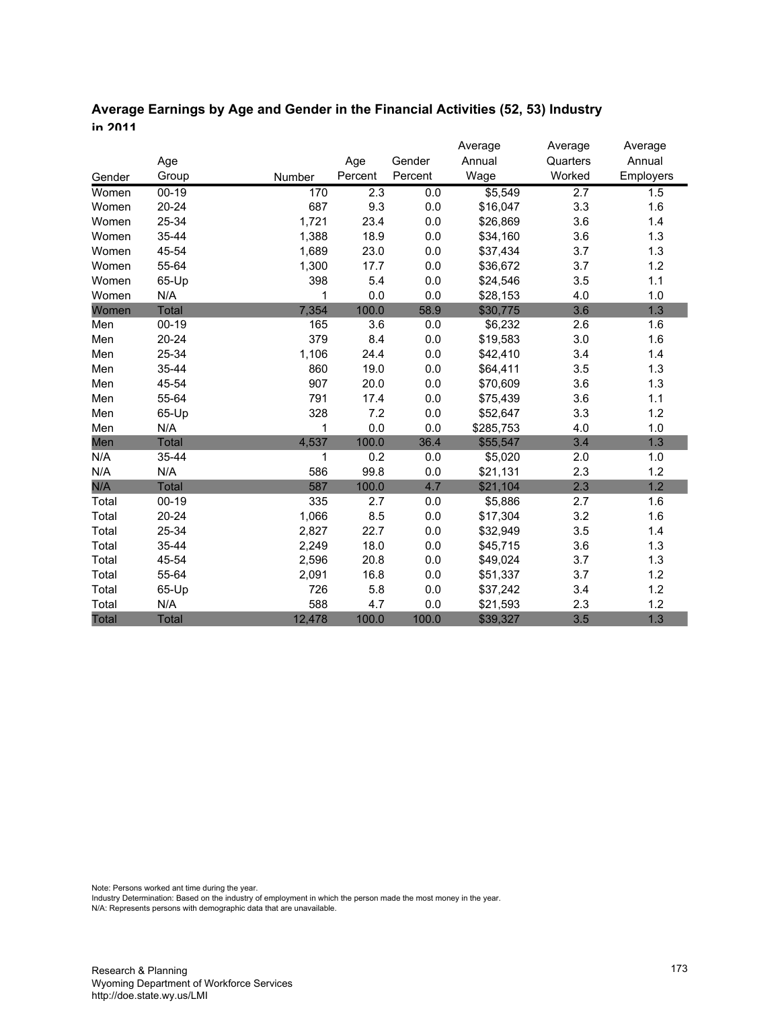# **Average Earnings by Age and Gender in the Financial Activities (52, 53) Industry in 2011**

|        |              |        |         |         | Average   | Average          | Average   |
|--------|--------------|--------|---------|---------|-----------|------------------|-----------|
|        | Age          |        | Age     | Gender  | Annual    | Quarters         | Annual    |
| Gender | Group        | Number | Percent | Percent | Wage      | Worked           | Employers |
| Women  | $00 - 19$    | 170    | 2.3     | 0.0     | \$5,549   | $\overline{2.7}$ | 1.5       |
| Women  | $20 - 24$    | 687    | 9.3     | $0.0\,$ | \$16,047  | 3.3              | 1.6       |
| Women  | 25-34        | 1,721  | 23.4    | 0.0     | \$26,869  | 3.6              | 1.4       |
| Women  | 35-44        | 1,388  | 18.9    | 0.0     | \$34,160  | 3.6              | 1.3       |
| Women  | 45-54        | 1,689  | 23.0    | 0.0     | \$37,434  | 3.7              | 1.3       |
| Women  | 55-64        | 1,300  | 17.7    | 0.0     | \$36,672  | 3.7              | 1.2       |
| Women  | 65-Up        | 398    | 5.4     | 0.0     | \$24,546  | 3.5              | 1.1       |
| Women  | N/A          | 1      | 0.0     | 0.0     | \$28,153  | 4.0              | 1.0       |
| Women  | <b>Total</b> | 7,354  | 100.0   | 58.9    | \$30,775  | 3.6              | 1.3       |
| Men    | $00-19$      | 165    | 3.6     | 0.0     | \$6,232   | 2.6              | 1.6       |
| Men    | $20 - 24$    | 379    | 8.4     | 0.0     | \$19,583  | 3.0              | 1.6       |
| Men    | 25-34        | 1,106  | 24.4    | 0.0     | \$42,410  | 3.4              | 1.4       |
| Men    | 35-44        | 860    | 19.0    | 0.0     | \$64,411  | 3.5              | 1.3       |
| Men    | 45-54        | 907    | 20.0    | 0.0     | \$70,609  | 3.6              | 1.3       |
| Men    | 55-64        | 791    | 17.4    | 0.0     | \$75,439  | 3.6              | 1.1       |
| Men    | 65-Up        | 328    | 7.2     | 0.0     | \$52,647  | 3.3              | 1.2       |
| Men    | N/A          | 1      | 0.0     | 0.0     | \$285,753 | 4.0              | 1.0       |
| Men    | <b>Total</b> | 4,537  | 100.0   | 36.4    | \$55,547  | 3.4              | 1.3       |
| N/A    | 35-44        | 1      | 0.2     | 0.0     | \$5,020   | 2.0              | 1.0       |
| N/A    | N/A          | 586    | 99.8    | 0.0     | \$21,131  | 2.3              | 1.2       |
| N/A    | Total        | 587    | 100.0   | 4.7     | \$21,104  | 2.3              | 1.2       |
| Total  | $00 - 19$    | 335    | 2.7     | 0.0     | \$5,886   | 2.7              | 1.6       |
| Total  | $20 - 24$    | 1,066  | 8.5     | 0.0     | \$17,304  | 3.2              | 1.6       |
| Total  | 25-34        | 2,827  | 22.7    | 0.0     | \$32,949  | 3.5              | 1.4       |
| Total  | 35-44        | 2,249  | 18.0    | 0.0     | \$45,715  | 3.6              | 1.3       |
| Total  | 45-54        | 2,596  | 20.8    | 0.0     | \$49,024  | 3.7              | 1.3       |
| Total  | 55-64        | 2,091  | 16.8    | 0.0     | \$51,337  | 3.7              | 1.2       |
| Total  | 65-Up        | 726    | 5.8     | 0.0     | \$37,242  | 3.4              | 1.2       |
| Total  | N/A          | 588    | 4.7     | 0.0     | \$21,593  | 2.3              | 1.2       |
| Total  | <b>Total</b> | 12,478 | 100.0   | 100.0   | \$39,327  | 3.5              | 1.3       |

Note: Persons worked ant time during the year.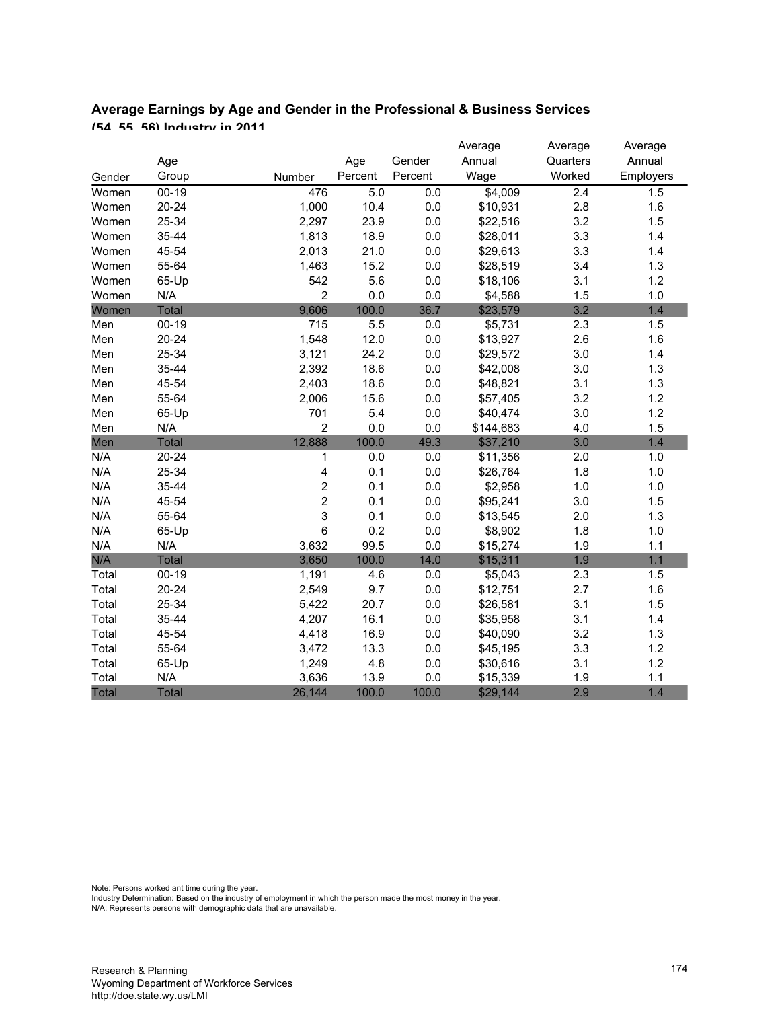|        |              |                         |         |         | Average   | Average  | Average   |
|--------|--------------|-------------------------|---------|---------|-----------|----------|-----------|
|        | Age          |                         | Age     | Gender  | Annual    | Quarters | Annual    |
| Gender | Group        | Number                  | Percent | Percent | Wage      | Worked   | Employers |
| Women  | $00 - 19$    | 476                     | 5.0     | 0.0     | \$4,009   | 2.4      | 1.5       |
| Women  | $20 - 24$    | 1,000                   | 10.4    | $0.0\,$ | \$10,931  | 2.8      | 1.6       |
| Women  | 25-34        | 2,297                   | 23.9    | 0.0     | \$22,516  | 3.2      | 1.5       |
| Women  | 35-44        | 1,813                   | 18.9    | $0.0\,$ | \$28,011  | 3.3      | 1.4       |
| Women  | 45-54        | 2,013                   | 21.0    | $0.0\,$ | \$29,613  | 3.3      | 1.4       |
| Women  | 55-64        | 1,463                   | 15.2    | $0.0\,$ | \$28,519  | 3.4      | 1.3       |
| Women  | 65-Up        | 542                     | 5.6     | $0.0\,$ | \$18,106  | 3.1      | 1.2       |
| Women  | N/A          | $\overline{2}$          | 0.0     | 0.0     | \$4,588   | 1.5      | 1.0       |
| Women  | Total        | 9,606                   | 100.0   | 36.7    | \$23,579  | 3.2      | 1.4       |
| Men    | $00 - 19$    | 715                     | 5.5     | 0.0     | \$5,731   | 2.3      | 1.5       |
| Men    | $20 - 24$    | 1,548                   | 12.0    | $0.0\,$ | \$13,927  | 2.6      | 1.6       |
| Men    | 25-34        | 3,121                   | 24.2    | $0.0\,$ | \$29,572  | 3.0      | 1.4       |
| Men    | 35-44        | 2,392                   | 18.6    | $0.0\,$ | \$42,008  | 3.0      | 1.3       |
| Men    | 45-54        | 2,403                   | 18.6    | $0.0\,$ | \$48,821  | 3.1      | 1.3       |
| Men    | 55-64        | 2,006                   | 15.6    | $0.0\,$ | \$57,405  | 3.2      | 1.2       |
| Men    | 65-Up        | 701                     | 5.4     | $0.0\,$ | \$40,474  | 3.0      | 1.2       |
| Men    | N/A          | $\overline{2}$          | 0.0     | 0.0     | \$144,683 | 4.0      | 1.5       |
| Men    | <b>Total</b> | 12,888                  | 100.0   | 49.3    | \$37,210  | 3.0      | 1.4       |
| N/A    | $20 - 24$    | 1                       | 0.0     | 0.0     | \$11,356  | 2.0      | 1.0       |
| N/A    | 25-34        | $\overline{\mathbf{4}}$ | 0.1     | $0.0\,$ | \$26,764  | 1.8      | 1.0       |
| N/A    | 35-44        | 2                       | 0.1     | $0.0\,$ | \$2,958   | 1.0      | 1.0       |
| N/A    | 45-54        | $\overline{c}$          | 0.1     | $0.0\,$ | \$95,241  | 3.0      | 1.5       |
| N/A    | 55-64        | 3                       | 0.1     | $0.0\,$ | \$13,545  | 2.0      | 1.3       |
| N/A    | 65-Up        | $\,6$                   | 0.2     | $0.0\,$ | \$8,902   | 1.8      | 1.0       |
| N/A    | N/A          | 3,632                   | 99.5    | 0.0     | \$15,274  | 1.9      | 1.1       |
| N/A    | <b>Total</b> | 3,650                   | 100.0   | 14.0    | \$15,311  | 1.9      | 1.1       |
| Total  | $00 - 19$    | 1,191                   | 4.6     | 0.0     | \$5,043   | 2.3      | 1.5       |
| Total  | $20 - 24$    | 2,549                   | 9.7     | 0.0     | \$12,751  | 2.7      | 1.6       |
| Total  | 25-34        | 5,422                   | 20.7    | $0.0\,$ | \$26,581  | 3.1      | 1.5       |
| Total  | 35-44        | 4,207                   | 16.1    | 0.0     | \$35,958  | 3.1      | 1.4       |
| Total  | 45-54        | 4,418                   | 16.9    | 0.0     | \$40,090  | 3.2      | 1.3       |
| Total  | 55-64        | 3,472                   | 13.3    | 0.0     | \$45,195  | 3.3      | 1.2       |
| Total  | 65-Up        | 1,249                   | 4.8     | 0.0     | \$30,616  | 3.1      | 1.2       |
| Total  | N/A          | 3,636                   | 13.9    | 0.0     | \$15,339  | 1.9      | 1.1       |
| Total  | <b>Total</b> | 26,144                  | 100.0   | 100.0   | \$29,144  | 2.9      | 1.4       |

# **Average Earnings by Age and Gender in the Professional & Business Services (54, 55, 56) Industry in 2011**

Note: Persons worked ant time during the year.

Industry Determination: Based on the industry of employment in which the person made the most money in the year.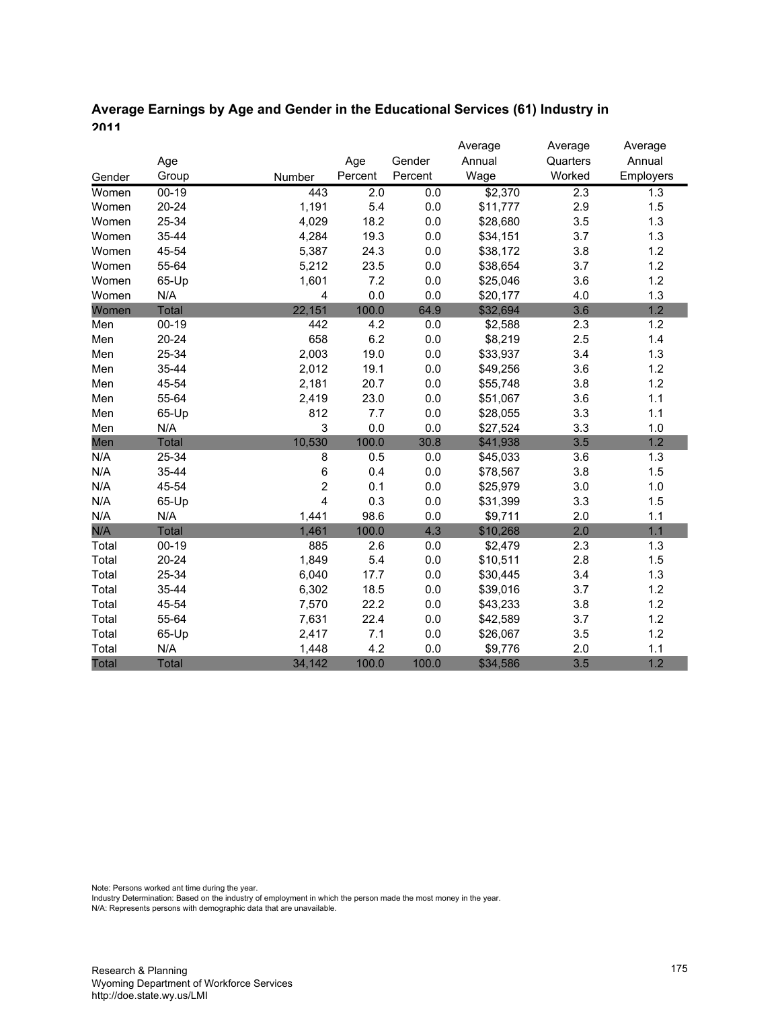# **Average Earnings by Age and Gender in the Educational Services (61) Industry in 2011**

|        |              |        |         |         | Average  | Average  | Average   |
|--------|--------------|--------|---------|---------|----------|----------|-----------|
|        | Age          |        | Age     | Gender  | Annual   | Quarters | Annual    |
| Gender | Group        | Number | Percent | Percent | Wage     | Worked   | Employers |
| Women  | $00 - 19$    | 443    | 2.0     | 0.0     | \$2,370  | 2.3      | 1.3       |
| Women  | $20 - 24$    | 1,191  | 5.4     | 0.0     | \$11,777 | 2.9      | 1.5       |
| Women  | 25-34        | 4,029  | 18.2    | 0.0     | \$28,680 | 3.5      | 1.3       |
| Women  | 35-44        | 4,284  | 19.3    | 0.0     | \$34,151 | 3.7      | 1.3       |
| Women  | 45-54        | 5,387  | 24.3    | 0.0     | \$38,172 | 3.8      | 1.2       |
| Women  | 55-64        | 5,212  | 23.5    | 0.0     | \$38,654 | 3.7      | 1.2       |
| Women  | 65-Up        | 1,601  | 7.2     | $0.0\,$ | \$25,046 | 3.6      | 1.2       |
| Women  | N/A          | 4      | 0.0     | 0.0     | \$20,177 | 4.0      | 1.3       |
| Women  | Total        | 22,151 | 100.0   | 64.9    | \$32,694 | 3.6      | 1.2       |
| Men    | $00-19$      | 442    | 4.2     | $0.0\,$ | \$2,588  | 2.3      | 1.2       |
| Men    | 20-24        | 658    | 6.2     | $0.0\,$ | \$8,219  | 2.5      | 1.4       |
| Men    | 25-34        | 2,003  | 19.0    | 0.0     | \$33,937 | 3.4      | 1.3       |
| Men    | 35-44        | 2,012  | 19.1    | 0.0     | \$49,256 | 3.6      | 1.2       |
| Men    | 45-54        | 2,181  | 20.7    | 0.0     | \$55,748 | 3.8      | 1.2       |
| Men    | 55-64        | 2,419  | 23.0    | 0.0     | \$51,067 | 3.6      | 1.1       |
| Men    | 65-Up        | 812    | 7.7     | 0.0     | \$28,055 | 3.3      | 1.1       |
| Men    | N/A          | 3      | 0.0     | 0.0     | \$27,524 | 3.3      | 1.0       |
| Men    | Total        | 10,530 | 100.0   | 30.8    | \$41,938 | 3.5      | 1.2       |
| N/A    | 25-34        | 8      | 0.5     | 0.0     | \$45,033 | 3.6      | 1.3       |
| N/A    | 35-44        | 6      | 0.4     | 0.0     | \$78,567 | 3.8      | 1.5       |
| N/A    | 45-54        | 2      | 0.1     | $0.0\,$ | \$25,979 | 3.0      | 1.0       |
| N/A    | 65-Up        | 4      | 0.3     | 0.0     | \$31,399 | 3.3      | 1.5       |
| N/A    | N/A          | 1,441  | 98.6    | 0.0     | \$9,711  | 2.0      | 1.1       |
| N/A    | Total        | 1,461  | 100.0   | 4.3     | \$10,268 | 2.0      | 1.1       |
| Total  | $00 - 19$    | 885    | 2.6     | 0.0     | \$2,479  | 2.3      | 1.3       |
| Total  | $20 - 24$    | 1,849  | 5.4     | 0.0     | \$10,511 | 2.8      | 1.5       |
| Total  | 25-34        | 6,040  | 17.7    | 0.0     | \$30,445 | 3.4      | 1.3       |
| Total  | 35-44        | 6,302  | 18.5    | 0.0     | \$39,016 | 3.7      | 1.2       |
| Total  | 45-54        | 7,570  | 22.2    | 0.0     | \$43,233 | 3.8      | 1.2       |
| Total  | 55-64        | 7,631  | 22.4    | 0.0     | \$42,589 | 3.7      | 1.2       |
| Total  | 65-Up        | 2,417  | 7.1     | 0.0     | \$26,067 | 3.5      | 1.2       |
| Total  | N/A          | 1,448  | 4.2     | 0.0     | \$9,776  | 2.0      | 1.1       |
| Total  | <b>Total</b> | 34,142 | 100.0   | 100.0   | \$34,586 | 3.5      | 1.2       |

Note: Persons worked ant time during the year.

Industry Determination: Based on the industry of employment in which the person made the most money in the year.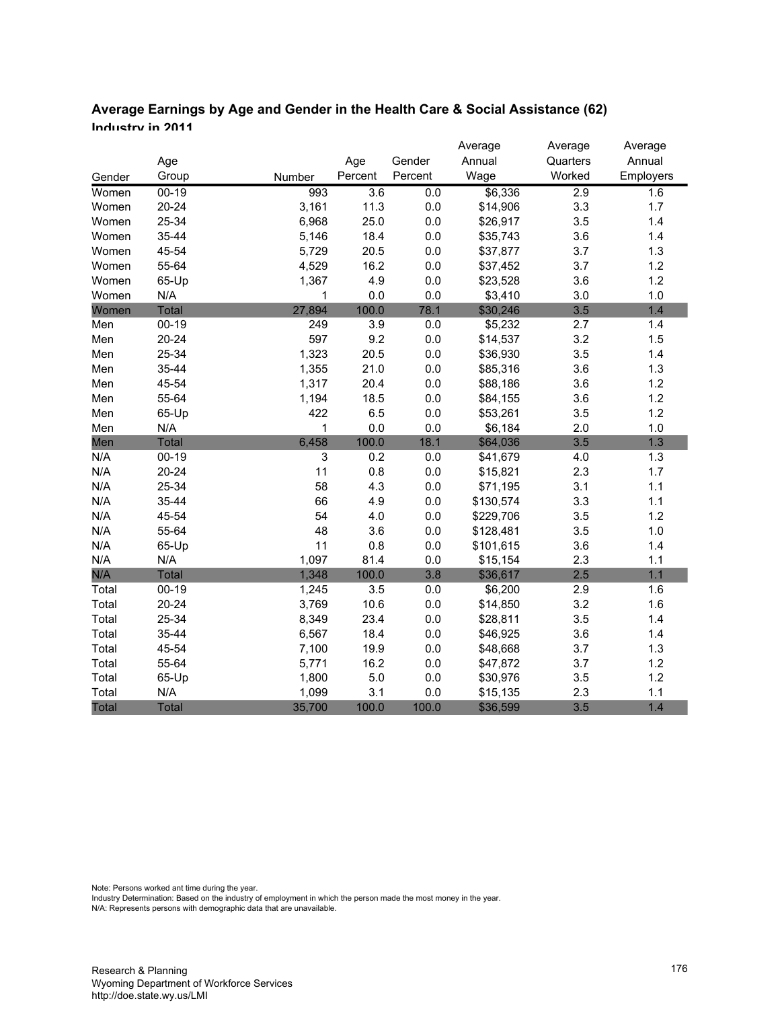| Average Earnings by Age and Gender in the Health Care & Social Assistance (62) |  |
|--------------------------------------------------------------------------------|--|
| Inductry in 2011                                                               |  |

|              |           |                           |                  |         | Average   | Average  | Average   |
|--------------|-----------|---------------------------|------------------|---------|-----------|----------|-----------|
|              | Age       |                           | Age              | Gender  | Annual    | Quarters | Annual    |
| Gender       | Group     | Number                    | Percent          | Percent | Wage      | Worked   | Employers |
| Women        | $00 - 19$ | 993                       | $\overline{3.6}$ | 0.0     | \$6,336   | 2.9      | 1.6       |
| Women        | $20 - 24$ | 3,161                     | 11.3             | 0.0     | \$14,906  | 3.3      | 1.7       |
| Women        | 25-34     | 6,968                     | 25.0             | $0.0\,$ | \$26,917  | 3.5      | 1.4       |
| Women        | 35-44     | 5,146                     | 18.4             | 0.0     | \$35,743  | 3.6      | 1.4       |
| Women        | 45-54     | 5,729                     | 20.5             | $0.0\,$ | \$37,877  | 3.7      | 1.3       |
| Women        | 55-64     | 4,529                     | 16.2             | 0.0     | \$37,452  | 3.7      | 1.2       |
| Women        | 65-Up     | 1,367                     | 4.9              | 0.0     | \$23,528  | 3.6      | 1.2       |
| Women        | N/A       | 1                         | 0.0              | 0.0     | \$3,410   | 3.0      | 1.0       |
| Women        | Total     | 27,894                    | 100.0            | 78.1    | \$30,246  | 3.5      | 1.4       |
| Men          | $00 - 19$ | 249                       | 3.9              | 0.0     | \$5,232   | 2.7      | 1.4       |
| Men          | $20 - 24$ | 597                       | 9.2              | $0.0\,$ | \$14,537  | 3.2      | 1.5       |
| Men          | 25-34     | 1,323                     | 20.5             | $0.0\,$ | \$36,930  | 3.5      | 1.4       |
| Men          | 35-44     | 1,355                     | 21.0             | 0.0     | \$85,316  | 3.6      | 1.3       |
| Men          | 45-54     | 1,317                     | 20.4             | 0.0     | \$88,186  | 3.6      | 1.2       |
| Men          | 55-64     | 1,194                     | 18.5             | 0.0     | \$84,155  | 3.6      | 1.2       |
| Men          | 65-Up     | 422                       | 6.5              | 0.0     | \$53,261  | 3.5      | 1.2       |
| Men          | N/A       | 1                         | 0.0              | 0.0     | \$6,184   | 2.0      | 1.0       |
| Men          | Total     | 6,458                     | 100.0            | 18.1    | \$64,036  | 3.5      | 1.3       |
| N/A          | $00 - 19$ | $\ensuremath{\mathsf{3}}$ | 0.2              | $0.0\,$ | \$41,679  | 4.0      | 1.3       |
| N/A          | $20 - 24$ | 11                        | 0.8              | $0.0\,$ | \$15,821  | 2.3      | 1.7       |
| N/A          | 25-34     | 58                        | 4.3              | $0.0\,$ | \$71,195  | 3.1      | 1.1       |
| N/A          | 35-44     | 66                        | 4.9              | $0.0\,$ | \$130,574 | 3.3      | 1.1       |
| N/A          | 45-54     | 54                        | 4.0              | 0.0     | \$229,706 | 3.5      | 1.2       |
| N/A          | 55-64     | 48                        | 3.6              | 0.0     | \$128,481 | 3.5      | 1.0       |
| N/A          | 65-Up     | 11                        | 0.8              | $0.0\,$ | \$101,615 | 3.6      | 1.4       |
| N/A          | N/A       | 1,097                     | 81.4             | 0.0     | \$15,154  | 2.3      | 1.1       |
| N/A          | Total     | 1,348                     | 100.0            | 3.8     | \$36,617  | 2.5      | 1.1       |
| Total        | $00 - 19$ | 1,245                     | 3.5              | $0.0\,$ | \$6,200   | 2.9      | 1.6       |
| Total        | $20 - 24$ | 3,769                     | 10.6             | 0.0     | \$14,850  | 3.2      | 1.6       |
| Total        | 25-34     | 8,349                     | 23.4             | 0.0     | \$28,811  | 3.5      | 1.4       |
| Total        | 35-44     | 6,567                     | 18.4             | $0.0\,$ | \$46,925  | 3.6      | 1.4       |
| Total        | 45-54     | 7,100                     | 19.9             | $0.0\,$ | \$48,668  | 3.7      | 1.3       |
| Total        | 55-64     | 5,771                     | 16.2             | $0.0\,$ | \$47,872  | 3.7      | 1.2       |
| Total        | 65-Up     | 1,800                     | 5.0              | $0.0\,$ | \$30,976  | 3.5      | 1.2       |
| Total        | N/A       | 1,099                     | 3.1              | 0.0     | \$15,135  | 2.3      | 1.1       |
| <b>Total</b> | Total     | 35,700                    | 100.0            | 100.0   | \$36,599  | 3.5      | 1.4       |

Note: Persons worked ant time during the year.

Industry Determination: Based on the industry of employment in which the person made the most money in the year.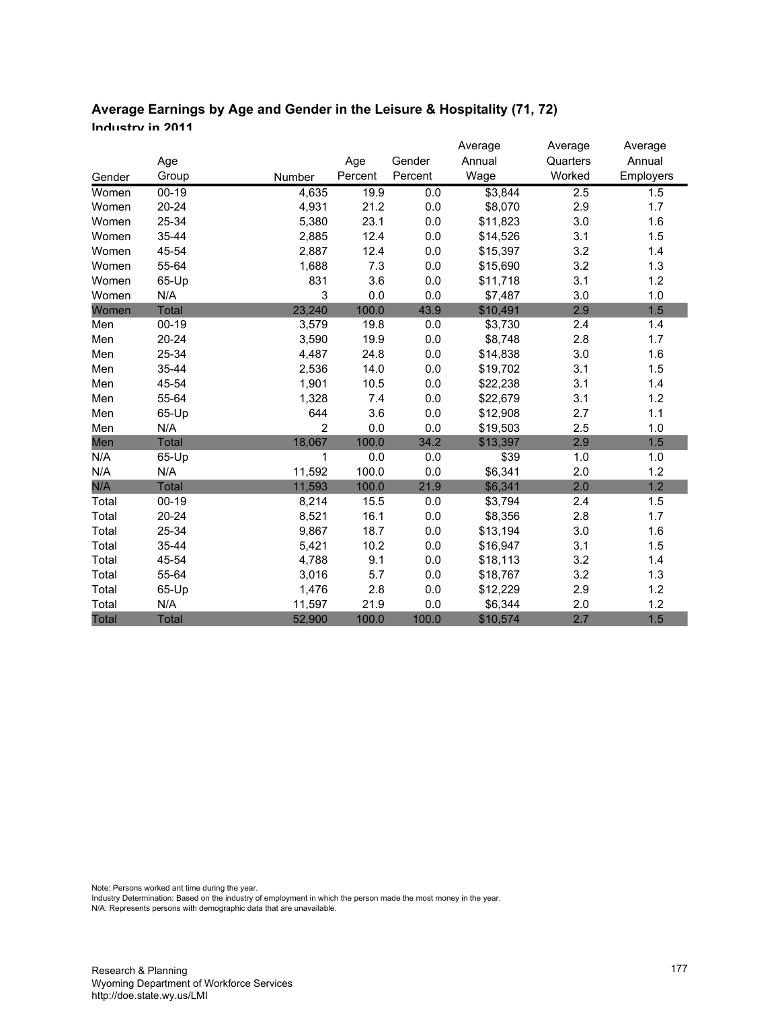# **Average Earnings by Age and Gender in the Leisure & Hospitality (71, 72) Industry in 2011**

|        |              |                |         |         | Average  | Average  | Average   |
|--------|--------------|----------------|---------|---------|----------|----------|-----------|
|        | Age          |                | Age     | Gender  | Annual   | Quarters | Annual    |
| Gender | Group        | Number         | Percent | Percent | Wage     | Worked   | Employers |
| Women  | $00 - 19$    | 4,635          | 19.9    | 0.0     | \$3,844  | 2.5      | 1.5       |
| Women  | $20 - 24$    | 4,931          | 21.2    | 0.0     | \$8,070  | 2.9      | 1.7       |
| Women  | 25-34        | 5,380          | 23.1    | 0.0     | \$11,823 | 3.0      | 1.6       |
| Women  | 35-44        | 2,885          | 12.4    | 0.0     | \$14,526 | 3.1      | 1.5       |
| Women  | 45-54        | 2,887          | 12.4    | 0.0     | \$15,397 | 3.2      | 1.4       |
| Women  | 55-64        | 1,688          | 7.3     | 0.0     | \$15,690 | 3.2      | 1.3       |
| Women  | 65-Up        | 831            | 3.6     | 0.0     | \$11,718 | 3.1      | 1.2       |
| Women  | N/A          | 3              | 0.0     | 0.0     | \$7,487  | 3.0      | 1.0       |
| Women  | Total        | 23,240         | 100.0   | 43.9    | \$10,491 | 2.9      | 1.5       |
| Men    | $00-19$      | 3,579          | 19.8    | 0.0     | \$3,730  | 2.4      | 1.4       |
| Men    | 20-24        | 3,590          | 19.9    | 0.0     | \$8,748  | 2.8      | 1.7       |
| Men    | 25-34        | 4,487          | 24.8    | 0.0     | \$14,838 | 3.0      | 1.6       |
| Men    | 35-44        | 2,536          | 14.0    | 0.0     | \$19,702 | 3.1      | 1.5       |
| Men    | 45-54        | 1,901          | 10.5    | 0.0     | \$22,238 | 3.1      | 1.4       |
| Men    | 55-64        | 1,328          | 7.4     | 0.0     | \$22,679 | 3.1      | 1.2       |
| Men    | 65-Up        | 644            | 3.6     | 0.0     | \$12,908 | 2.7      | 1.1       |
| Men    | N/A          | $\overline{2}$ | 0.0     | 0.0     | \$19,503 | 2.5      | 1.0       |
| Men    | <b>Total</b> | 18,067         | 100.0   | 34.2    | \$13,397 | 2.9      | 1.5       |
| N/A    | 65-Up        | 1              | 0.0     | 0.0     | \$39     | 1.0      | 1.0       |
| N/A    | N/A          | 11,592         | 100.0   | 0.0     | \$6,341  | 2.0      | 1.2       |
| N/A    | Total        | 11,593         | 100.0   | 21.9    | \$6,341  | 2.0      | 1.2       |
| Total  | $00 - 19$    | 8,214          | 15.5    | 0.0     | \$3,794  | 2.4      | 1.5       |
| Total  | $20 - 24$    | 8,521          | 16.1    | $0.0\,$ | \$8,356  | 2.8      | 1.7       |
| Total  | 25-34        | 9,867          | 18.7    | 0.0     | \$13,194 | 3.0      | 1.6       |
| Total  | 35-44        | 5,421          | 10.2    | 0.0     | \$16,947 | 3.1      | 1.5       |
| Total  | 45-54        | 4,788          | 9.1     | 0.0     | \$18,113 | 3.2      | 1.4       |
| Total  | 55-64        | 3,016          | 5.7     | $0.0\,$ | \$18,767 | 3.2      | 1.3       |
| Total  | 65-Up        | 1,476          | 2.8     | 0.0     | \$12,229 | 2.9      | 1.2       |
| Total  | N/A          | 11,597         | 21.9    | 0.0     | \$6,344  | 2.0      | 1.2       |
| Total  | <b>Total</b> | 52,900         | 100.0   | 100.0   | \$10,574 | 2.7      | 1.5       |

Note: Persons worked ant time during the year.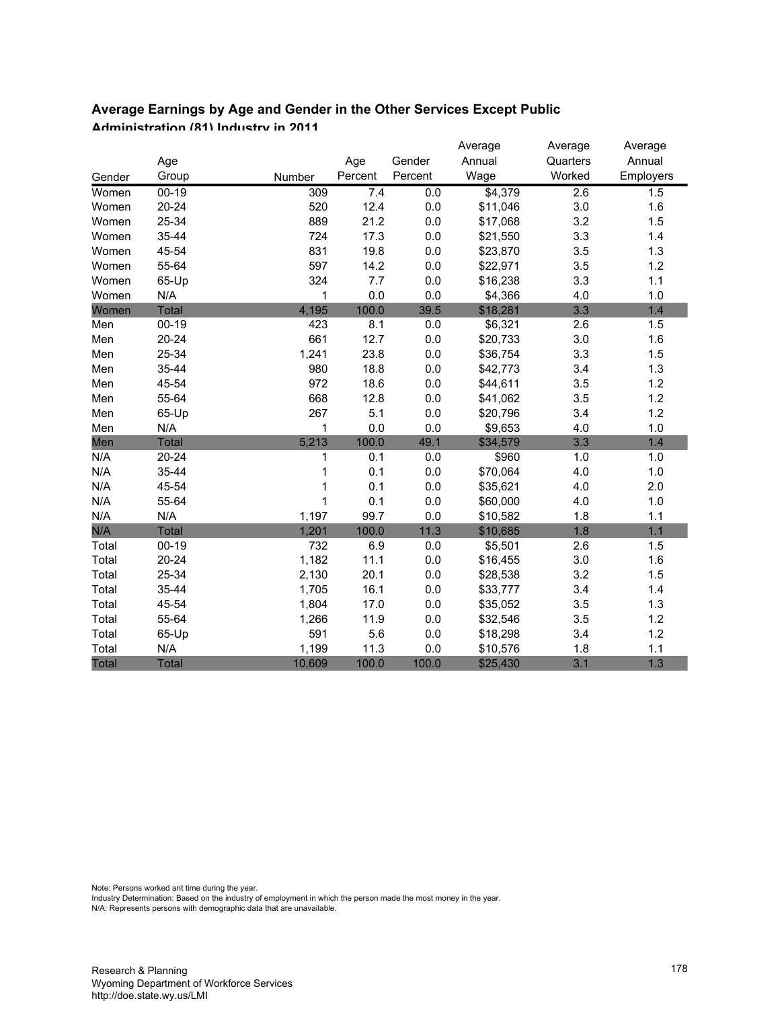#### **Average Earnings by Age and Gender in the Other Services Except Public Administration (81) Industry in 2011**

|              |              |        |         |         | Average  | Average  | Average   |
|--------------|--------------|--------|---------|---------|----------|----------|-----------|
|              | Age          |        | Age     | Gender  | Annual   | Quarters | Annual    |
| Gender       | Group        | Number | Percent | Percent | Wage     | Worked   | Employers |
| Women        | $00 - 19$    | 309    | 7.4     | 0.0     | \$4,379  | 2.6      | 1.5       |
| Women        | $20 - 24$    | 520    | 12.4    | $0.0\,$ | \$11,046 | 3.0      | 1.6       |
| Women        | 25-34        | 889    | 21.2    | 0.0     | \$17,068 | 3.2      | 1.5       |
| Women        | 35-44        | 724    | 17.3    | $0.0\,$ | \$21,550 | 3.3      | 1.4       |
| Women        | 45-54        | 831    | 19.8    | $0.0\,$ | \$23,870 | 3.5      | 1.3       |
| Women        | 55-64        | 597    | 14.2    | 0.0     | \$22,971 | 3.5      | 1.2       |
| Women        | 65-Up        | 324    | 7.7     | $0.0\,$ | \$16,238 | 3.3      | 1.1       |
| Women        | N/A          | 1      | 0.0     | 0.0     | \$4,366  | 4.0      | 1.0       |
| Women        | <b>Total</b> | 4,195  | 100.0   | 39.5    | \$18,281 | 3.3      | 1.4       |
| Men          | $00 - 19$    | 423    | 8.1     | $0.0\,$ | \$6,321  | 2.6      | 1.5       |
| Men          | $20 - 24$    | 661    | 12.7    | $0.0\,$ | \$20,733 | 3.0      | 1.6       |
| Men          | 25-34        | 1,241  | 23.8    | $0.0\,$ | \$36,754 | 3.3      | 1.5       |
| Men          | 35-44        | 980    | 18.8    | 0.0     | \$42,773 | 3.4      | 1.3       |
| Men          | 45-54        | 972    | 18.6    | 0.0     | \$44,611 | 3.5      | 1.2       |
| Men          | 55-64        | 668    | 12.8    | $0.0\,$ | \$41,062 | 3.5      | 1.2       |
| Men          | 65-Up        | 267    | 5.1     | 0.0     | \$20,796 | 3.4      | 1.2       |
| Men          | N/A          | 1      | 0.0     | 0.0     | \$9,653  | 4.0      | 1.0       |
| Men          | Total        | 5,213  | 100.0   | 49.1    | \$34,579 | 3.3      | 1.4       |
| N/A          | 20-24        | 1      | 0.1     | 0.0     | \$960    | 1.0      | 1.0       |
| N/A          | 35-44        | 1      | 0.1     | $0.0\,$ | \$70,064 | 4.0      | 1.0       |
| N/A          | 45-54        | 1      | 0.1     | 0.0     | \$35,621 | 4.0      | 2.0       |
| N/A          | 55-64        | 1      | 0.1     | $0.0\,$ | \$60,000 | 4.0      | 1.0       |
| N/A          | N/A          | 1,197  | 99.7    | $0.0\,$ | \$10,582 | 1.8      | 1.1       |
| N/A          | Total        | 1,201  | 100.0   | 11.3    | \$10,685 | 1.8      | 1.1       |
| Total        | $00 - 19$    | 732    | 6.9     | 0.0     | \$5,501  | 2.6      | 1.5       |
| Total        | $20 - 24$    | 1,182  | 11.1    | $0.0\,$ | \$16,455 | 3.0      | 1.6       |
| Total        | 25-34        | 2,130  | 20.1    | 0.0     | \$28,538 | 3.2      | 1.5       |
| Total        | 35-44        | 1,705  | 16.1    | $0.0\,$ | \$33,777 | 3.4      | 1.4       |
| Total        | 45-54        | 1,804  | 17.0    | 0.0     | \$35,052 | 3.5      | 1.3       |
| Total        | 55-64        | 1,266  | 11.9    | 0.0     | \$32,546 | 3.5      | 1.2       |
| Total        | 65-Up        | 591    | 5.6     | $0.0\,$ | \$18,298 | 3.4      | 1.2       |
| Total        | N/A          | 1,199  | 11.3    | 0.0     | \$10,576 | 1.8      | 1.1       |
| <b>Total</b> | <b>Total</b> | 10,609 | 100.0   | 100.0   | \$25,430 | 3.1      | 1.3       |

Note: Persons worked ant time during the year.

Industry Determination: Based on the industry of employment in which the person made the most money in the year.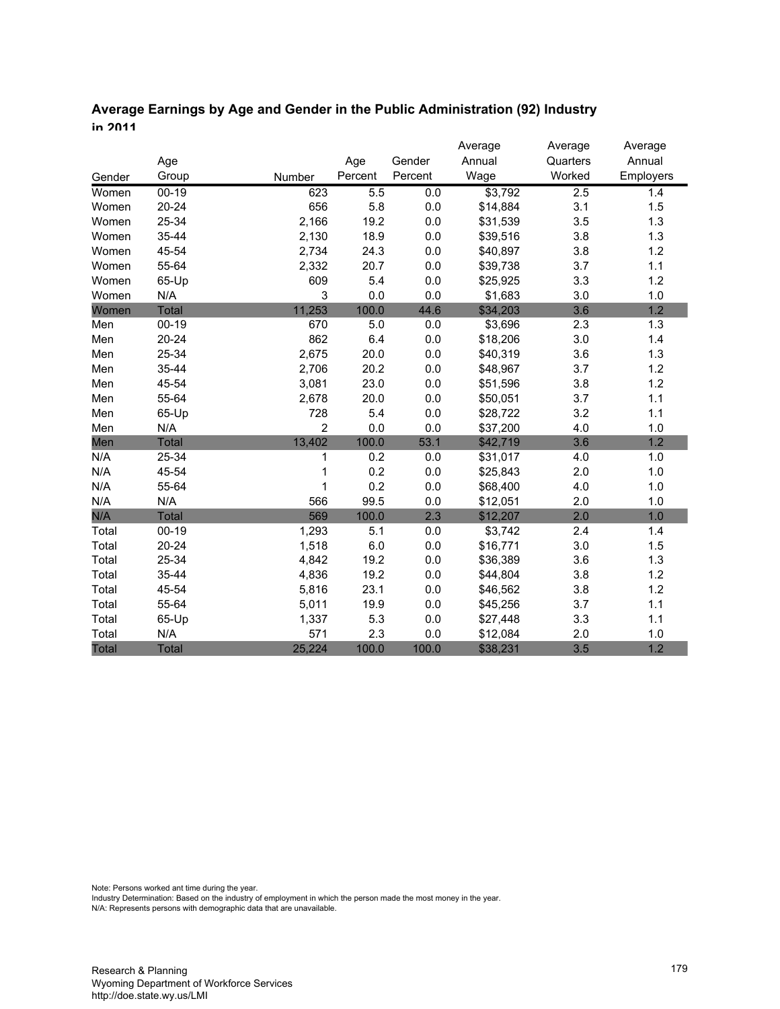## **Average Earnings by Age and Gender in the Public Administration (92) Industry in 2011**

|              |              |                |         |         | Average  | Average          | Average   |
|--------------|--------------|----------------|---------|---------|----------|------------------|-----------|
|              | Age          |                | Age     | Gender  | Annual   | Quarters         | Annual    |
| Gender       | Group        | Number         | Percent | Percent | Wage     | Worked           | Employers |
| Women        | $00 - 19$    | 623            | 5.5     | 0.0     | \$3,792  | $\overline{2.5}$ | 1.4       |
| Women        | $20 - 24$    | 656            | 5.8     | 0.0     | \$14,884 | 3.1              | 1.5       |
| Women        | 25-34        | 2,166          | 19.2    | 0.0     | \$31,539 | 3.5              | 1.3       |
| Women        | 35-44        | 2,130          | 18.9    | 0.0     | \$39,516 | 3.8              | 1.3       |
| Women        | 45-54        | 2,734          | 24.3    | 0.0     | \$40,897 | 3.8              | 1.2       |
| Women        | 55-64        | 2,332          | 20.7    | 0.0     | \$39,738 | 3.7              | 1.1       |
| Women        | 65-Up        | 609            | 5.4     | 0.0     | \$25,925 | 3.3              | 1.2       |
| Women        | N/A          | 3              | 0.0     | 0.0     | \$1,683  | 3.0              | 1.0       |
| Women        | <b>Total</b> | 11,253         | 100.0   | 44.6    | \$34,203 | 3.6              | 1.2       |
| Men          | $00 - 19$    | 670            | 5.0     | 0.0     | \$3,696  | 2.3              | 1.3       |
| Men          | $20 - 24$    | 862            | 6.4     | 0.0     | \$18,206 | 3.0              | 1.4       |
| Men          | 25-34        | 2,675          | 20.0    | 0.0     | \$40,319 | 3.6              | 1.3       |
| Men          | 35-44        | 2,706          | 20.2    | 0.0     | \$48,967 | 3.7              | 1.2       |
| Men          | 45-54        | 3,081          | 23.0    | 0.0     | \$51,596 | 3.8              | 1.2       |
| Men          | 55-64        | 2,678          | 20.0    | 0.0     | \$50,051 | 3.7              | 1.1       |
| Men          | 65-Up        | 728            | 5.4     | 0.0     | \$28,722 | 3.2              | 1.1       |
| Men          | N/A          | $\overline{2}$ | 0.0     | 0.0     | \$37,200 | 4.0              | 1.0       |
| Men          | Total        | 13,402         | 100.0   | 53.1    | \$42,719 | 3.6              | 1.2       |
| N/A          | 25-34        | 1              | 0.2     | 0.0     | \$31,017 | 4.0              | 1.0       |
| N/A          | 45-54        |                | 0.2     | 0.0     | \$25,843 | 2.0              | 1.0       |
| N/A          | 55-64        | 1              | 0.2     | 0.0     | \$68,400 | 4.0              | 1.0       |
| N/A          | N/A          | 566            | 99.5    | 0.0     | \$12,051 | 2.0              | 1.0       |
| N/A          | <b>Total</b> | 569            | 100.0   | 2.3     | \$12,207 | 2.0              | 1.0       |
| Total        | $00 - 19$    | 1,293          | 5.1     | 0.0     | \$3,742  | 2.4              | 1.4       |
| Total        | $20 - 24$    | 1,518          | 6.0     | 0.0     | \$16,771 | 3.0              | 1.5       |
| Total        | 25-34        | 4,842          | 19.2    | 0.0     | \$36,389 | 3.6              | 1.3       |
| Total        | 35-44        | 4,836          | 19.2    | 0.0     | \$44,804 | 3.8              | 1.2       |
| Total        | 45-54        | 5,816          | 23.1    | 0.0     | \$46,562 | 3.8              | 1.2       |
| Total        | 55-64        | 5,011          | 19.9    | 0.0     | \$45,256 | 3.7              | 1.1       |
| Total        | 65-Up        | 1,337          | 5.3     | 0.0     | \$27,448 | 3.3              | 1.1       |
| Total        | N/A          | 571            | 2.3     | 0.0     | \$12,084 | 2.0              | 1.0       |
| <b>Total</b> | <b>Total</b> | 25,224         | 100.0   | 100.0   | \$38,231 | 3.5              | 1.2       |

Note: Persons worked ant time during the year.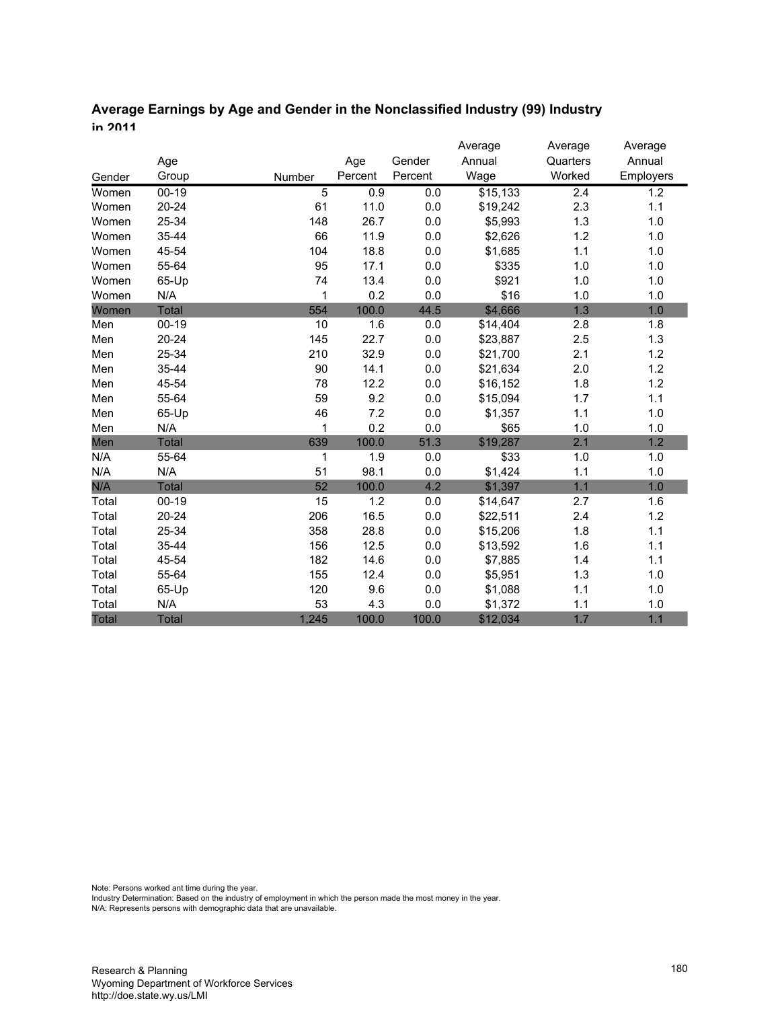## **Average Earnings by Age and Gender in the Nonclassified Industry (99) Industry in 2011**

|        |              |                |         |         | Average  | Average          | Average   |
|--------|--------------|----------------|---------|---------|----------|------------------|-----------|
|        | Age          |                | Age     | Gender  | Annual   | Quarters         | Annual    |
| Gender | Group        | Number         | Percent | Percent | Wage     | Worked           | Employers |
| Women  | $00 - 19$    | $\overline{5}$ | 0.9     | 0.0     | \$15,133 | $\overline{2.4}$ | 1.2       |
| Women  | $20 - 24$    | 61             | 11.0    | 0.0     | \$19,242 | 2.3              | 1.1       |
| Women  | 25-34        | 148            | 26.7    | 0.0     | \$5,993  | 1.3              | 1.0       |
| Women  | 35-44        | 66             | 11.9    | 0.0     | \$2,626  | 1.2              | 1.0       |
| Women  | 45-54        | 104            | 18.8    | 0.0     | \$1,685  | 1.1              | 1.0       |
| Women  | 55-64        | 95             | 17.1    | 0.0     | \$335    | 1.0              | 1.0       |
| Women  | 65-Up        | 74             | 13.4    | 0.0     | \$921    | 1.0              | 1.0       |
| Women  | N/A          | 1              | 0.2     | 0.0     | \$16     | 1.0              | 1.0       |
| Women  | <b>Total</b> | 554            | 100.0   | 44.5    | \$4,666  | 1.3              | 1.0       |
| Men    | $00 - 19$    | 10             | 1.6     | 0.0     | \$14,404 | 2.8              | 1.8       |
| Men    | $20 - 24$    | 145            | 22.7    | 0.0     | \$23,887 | 2.5              | 1.3       |
| Men    | 25-34        | 210            | 32.9    | $0.0\,$ | \$21,700 | 2.1              | 1.2       |
| Men    | 35-44        | 90             | 14.1    | 0.0     | \$21,634 | 2.0              | 1.2       |
| Men    | 45-54        | 78             | 12.2    | 0.0     | \$16,152 | 1.8              | 1.2       |
| Men    | 55-64        | 59             | 9.2     | 0.0     | \$15,094 | 1.7              | 1.1       |
| Men    | 65-Up        | 46             | 7.2     | $0.0\,$ | \$1,357  | 1.1              | 1.0       |
| Men    | N/A          | 1              | 0.2     | 0.0     | \$65     | 1.0              | 1.0       |
| Men    | <b>Total</b> | 639            | 100.0   | 51.3    | \$19,287 | 2.1              | 1.2       |
| N/A    | 55-64        | 1              | 1.9     | 0.0     | \$33     | 1.0              | 1.0       |
| N/A    | N/A          | 51             | 98.1    | 0.0     | \$1,424  | 1.1              | 1.0       |
| N/A    | <b>Total</b> | 52             | 100.0   | 4.2     | \$1,397  | 1.1              | 1.0       |
| Total  | $00-19$      | 15             | 1.2     | 0.0     | \$14,647 | 2.7              | 1.6       |
| Total  | $20 - 24$    | 206            | 16.5    | 0.0     | \$22,511 | 2.4              | 1.2       |
| Total  | 25-34        | 358            | 28.8    | 0.0     | \$15,206 | 1.8              | 1.1       |
| Total  | 35-44        | 156            | 12.5    | 0.0     | \$13,592 | 1.6              | 1.1       |
| Total  | 45-54        | 182            | 14.6    | 0.0     | \$7,885  | 1.4              | 1.1       |
| Total  | 55-64        | 155            | 12.4    | 0.0     | \$5,951  | 1.3              | 1.0       |
| Total  | 65-Up        | 120            | 9.6     | 0.0     | \$1,088  | 1.1              | 1.0       |
| Total  | N/A          | 53             | 4.3     | 0.0     | \$1,372  | 1.1              | 1.0       |
| Total  | <b>Total</b> | 1,245          | 100.0   | 100.0   | \$12,034 | 1.7              | 1.1       |

Note: Persons worked ant time during the year.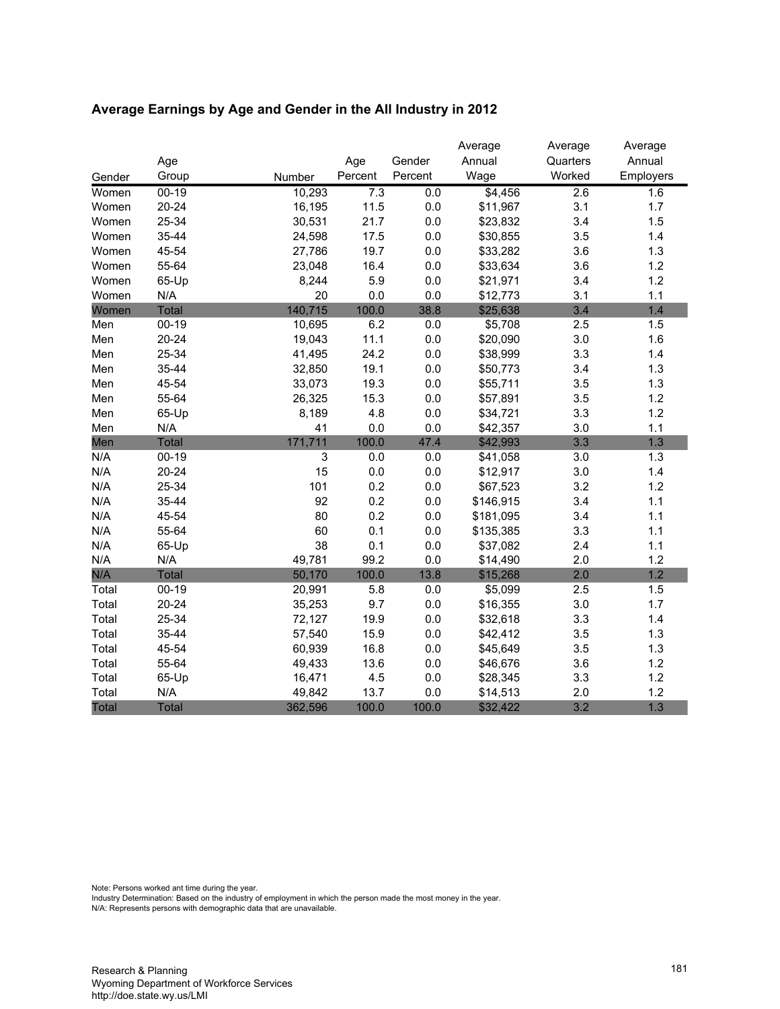| Average Earnings by Age and Gender in the All Industry in 2012 |  |  |
|----------------------------------------------------------------|--|--|
|                                                                |  |  |

|              |              |                           |         |         | Average   | Average          | Average   |
|--------------|--------------|---------------------------|---------|---------|-----------|------------------|-----------|
|              | Age          |                           | Age     | Gender  | Annual    | Quarters         | Annual    |
| Gender       | Group        | Number                    | Percent | Percent | Wage      | Worked           | Employers |
| Women        | $00 - 19$    | 10,293                    | 7.3     | 0.0     | \$4,456   | $\overline{2.6}$ | 1.6       |
| Women        | $20 - 24$    | 16,195                    | 11.5    | 0.0     | \$11,967  | 3.1              | 1.7       |
| Women        | 25-34        | 30,531                    | 21.7    | 0.0     | \$23,832  | 3.4              | 1.5       |
| Women        | 35-44        | 24,598                    | 17.5    | 0.0     | \$30,855  | 3.5              | 1.4       |
| Women        | 45-54        | 27,786                    | 19.7    | 0.0     | \$33,282  | 3.6              | 1.3       |
| Women        | 55-64        | 23,048                    | 16.4    | $0.0\,$ | \$33,634  | 3.6              | 1.2       |
| Women        | 65-Up        | 8,244                     | 5.9     | 0.0     | \$21,971  | 3.4              | 1.2       |
| Women        | N/A          | 20                        | 0.0     | 0.0     | \$12,773  | 3.1              | 1.1       |
| Women        | Total        | 140,715                   | 100.0   | 38.8    | \$25,638  | 3.4              | 1.4       |
| Men          | $00 - 19$    | 10,695                    | 6.2     | 0.0     | \$5,708   | 2.5              | 1.5       |
| Men          | $20 - 24$    | 19,043                    | 11.1    | 0.0     | \$20,090  | 3.0              | 1.6       |
| Men          | 25-34        | 41,495                    | 24.2    | $0.0\,$ | \$38,999  | 3.3              | 1.4       |
| Men          | 35-44        | 32,850                    | 19.1    | 0.0     | \$50,773  | 3.4              | 1.3       |
| Men          | 45-54        | 33,073                    | 19.3    | 0.0     | \$55,711  | 3.5              | 1.3       |
| Men          | 55-64        | 26,325                    | 15.3    | 0.0     | \$57,891  | 3.5              | 1.2       |
| Men          | 65-Up        | 8,189                     | 4.8     | 0.0     | \$34,721  | 3.3              | 1.2       |
| Men          | N/A          | 41                        | 0.0     | 0.0     | \$42,357  | 3.0              | 1.1       |
| Men          | <b>Total</b> | 171,711                   | 100.0   | 47.4    | \$42,993  | 3.3              | 1.3       |
| N/A          | $00-19$      | $\ensuremath{\mathsf{3}}$ | 0.0     | 0.0     | \$41,058  | 3.0              | 1.3       |
| N/A          | $20 - 24$    | 15                        | 0.0     | 0.0     | \$12,917  | 3.0              | 1.4       |
| N/A          | 25-34        | 101                       | 0.2     | 0.0     | \$67,523  | 3.2              | 1.2       |
| N/A          | 35-44        | 92                        | 0.2     | $0.0\,$ | \$146,915 | 3.4              | 1.1       |
| N/A          | 45-54        | 80                        | 0.2     | 0.0     | \$181,095 | 3.4              | 1.1       |
| N/A          | 55-64        | 60                        | 0.1     | 0.0     | \$135,385 | 3.3              | 1.1       |
| N/A          | 65-Up        | 38                        | 0.1     | 0.0     | \$37,082  | 2.4              | 1.1       |
| N/A          | N/A          | 49,781                    | 99.2    | 0.0     | \$14,490  | 2.0              | 1.2       |
| N/A          | <b>Total</b> | 50,170                    | 100.0   | 13.8    | \$15,268  | 2.0              | 1.2       |
| Total        | $00-19$      | 20,991                    | 5.8     | 0.0     | \$5,099   | 2.5              | 1.5       |
| Total        | $20 - 24$    | 35,253                    | 9.7     | 0.0     | \$16,355  | 3.0              | 1.7       |
| Total        | 25-34        | 72,127                    | 19.9    | 0.0     | \$32,618  | 3.3              | 1.4       |
| Total        | 35-44        | 57,540                    | 15.9    | 0.0     | \$42,412  | 3.5              | 1.3       |
| Total        | 45-54        | 60,939                    | 16.8    | 0.0     | \$45,649  | 3.5              | 1.3       |
| Total        | 55-64        | 49,433                    | 13.6    | 0.0     | \$46,676  | 3.6              | 1.2       |
| Total        | 65-Up        | 16,471                    | 4.5     | 0.0     | \$28,345  | 3.3              | 1.2       |
| Total        | N/A          | 49,842                    | 13.7    | 0.0     | \$14,513  | 2.0              | 1.2       |
| <b>Total</b> | <b>Total</b> | 362,596                   | 100.0   | 100.0   | \$32,422  | 3.2              | 1.3       |

Note: Persons worked ant time during the year.

Industry Determination: Based on the industry of employment in which the person made the most money in the year.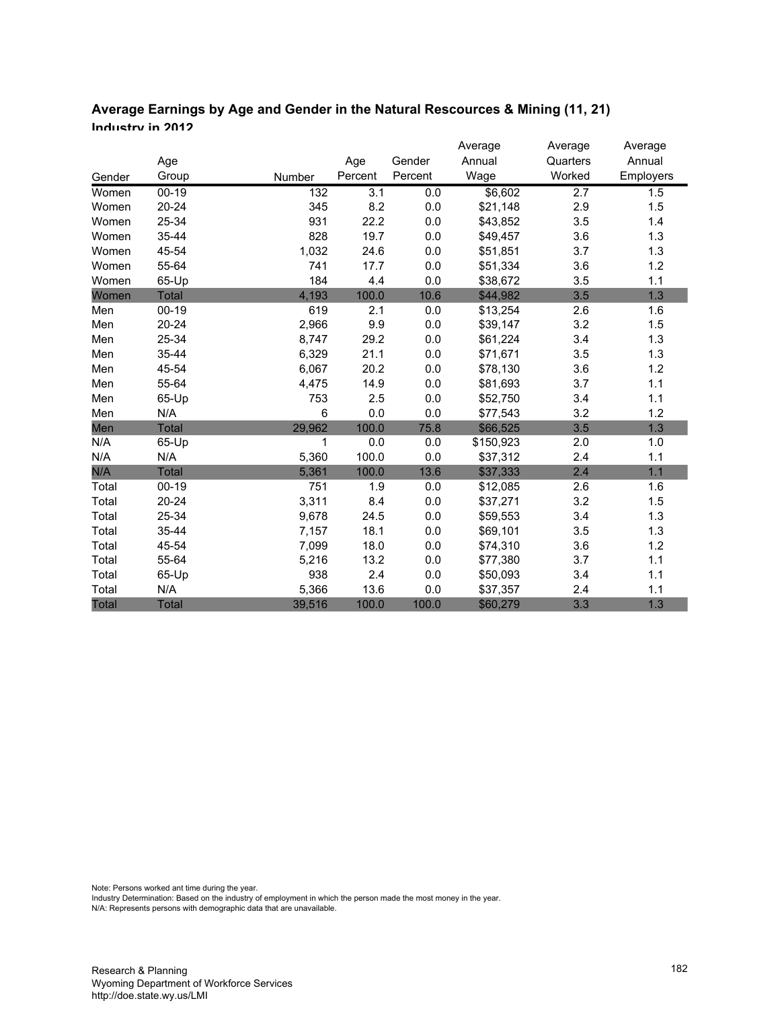| Average Earnings by Age and Gender in the Natural Rescources & Mining (11, 21) |  |
|--------------------------------------------------------------------------------|--|
| Inductry in 2012                                                               |  |

|        |              |        |         |         | Average   | Average  | Average   |
|--------|--------------|--------|---------|---------|-----------|----------|-----------|
|        | Age          |        | Age     | Gender  | Annual    | Quarters | Annual    |
| Gender | Group        | Number | Percent | Percent | Wage      | Worked   | Employers |
| Women  | $00 - 19$    | 132    | 3.1     | 0.0     | \$6,602   | 2.7      | 1.5       |
| Women  | 20-24        | 345    | 8.2     | 0.0     | \$21,148  | 2.9      | 1.5       |
| Women  | 25-34        | 931    | 22.2    | 0.0     | \$43,852  | 3.5      | 1.4       |
| Women  | 35-44        | 828    | 19.7    | 0.0     | \$49,457  | 3.6      | 1.3       |
| Women  | 45-54        | 1,032  | 24.6    | 0.0     | \$51,851  | 3.7      | 1.3       |
| Women  | 55-64        | 741    | 17.7    | 0.0     | \$51,334  | 3.6      | 1.2       |
| Women  | 65-Up        | 184    | 4.4     | 0.0     | \$38,672  | 3.5      | 1.1       |
| Women  | <b>Total</b> | 4,193  | 100.0   | 10.6    | \$44,982  | 3.5      | 1.3       |
| Men    | $00 - 19$    | 619    | 2.1     | 0.0     | \$13,254  | 2.6      | 1.6       |
| Men    | $20 - 24$    | 2,966  | 9.9     | 0.0     | \$39,147  | 3.2      | 1.5       |
| Men    | 25-34        | 8,747  | 29.2    | 0.0     | \$61,224  | 3.4      | 1.3       |
| Men    | 35-44        | 6,329  | 21.1    | 0.0     | \$71,671  | 3.5      | 1.3       |
| Men    | 45-54        | 6,067  | 20.2    | 0.0     | \$78,130  | 3.6      | 1.2       |
| Men    | 55-64        | 4,475  | 14.9    | 0.0     | \$81,693  | 3.7      | 1.1       |
| Men    | 65-Up        | 753    | 2.5     | 0.0     | \$52,750  | 3.4      | 1.1       |
| Men    | N/A          | 6      | 0.0     | 0.0     | \$77,543  | 3.2      | 1.2       |
| Men    | <b>Total</b> | 29,962 | 100.0   | 75.8    | \$66,525  | 3.5      | 1.3       |
| N/A    | 65-Up        | 1      | 0.0     | 0.0     | \$150,923 | 2.0      | 1.0       |
| N/A    | N/A          | 5,360  | 100.0   | 0.0     | \$37,312  | 2.4      | 1.1       |
| N/A    | <b>Total</b> | 5,361  | 100.0   | 13.6    | \$37,333  | 2.4      | 1.1       |
| Total  | $00-19$      | 751    | 1.9     | 0.0     | \$12,085  | 2.6      | 1.6       |
| Total  | 20-24        | 3,311  | 8.4     | 0.0     | \$37,271  | 3.2      | 1.5       |
| Total  | 25-34        | 9,678  | 24.5    | 0.0     | \$59,553  | 3.4      | 1.3       |
| Total  | 35-44        | 7,157  | 18.1    | $0.0\,$ | \$69,101  | 3.5      | 1.3       |
| Total  | 45-54        | 7,099  | 18.0    | 0.0     | \$74,310  | 3.6      | 1.2       |
| Total  | 55-64        | 5,216  | 13.2    | 0.0     | \$77,380  | 3.7      | 1.1       |
| Total  | 65-Up        | 938    | 2.4     | 0.0     | \$50,093  | 3.4      | 1.1       |
| Total  | N/A          | 5,366  | 13.6    | 0.0     | \$37,357  | 2.4      | 1.1       |
| Total  | <b>Total</b> | 39,516 | 100.0   | 100.0   | \$60,279  | 3.3      | 1.3       |

Note: Persons worked ant time during the year.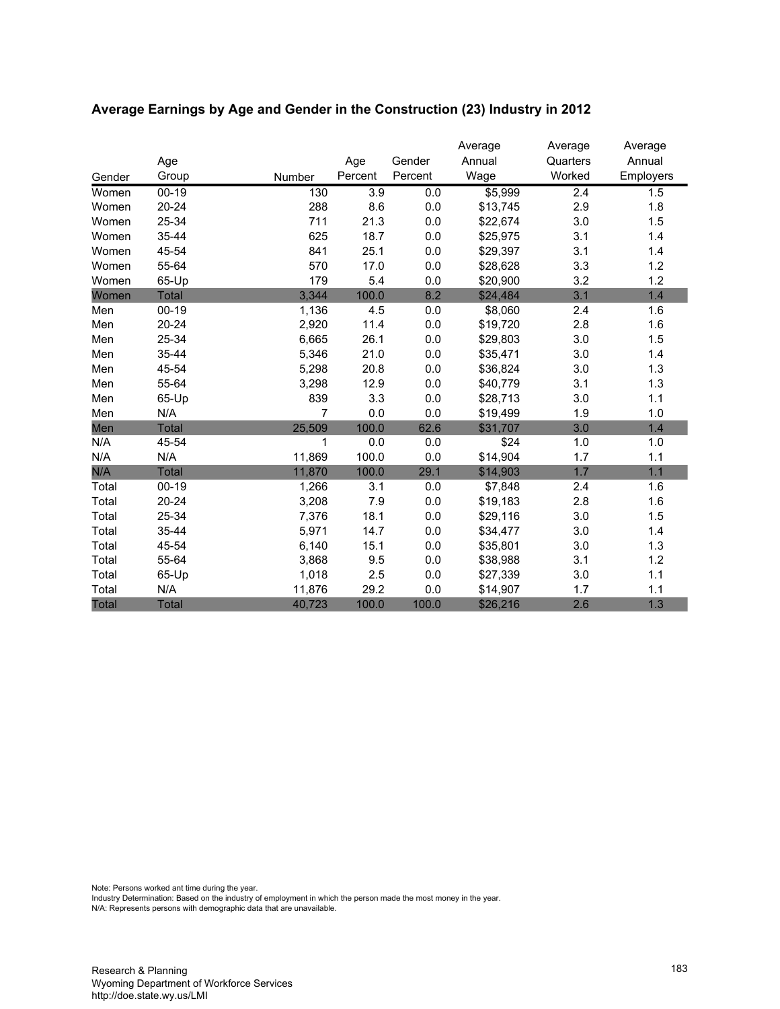|        |              |        |         |         | Average  | Average  | Average   |
|--------|--------------|--------|---------|---------|----------|----------|-----------|
|        | Age          |        | Age     | Gender  | Annual   | Quarters | Annual    |
| Gender | Group        | Number | Percent | Percent | Wage     | Worked   | Employers |
| Women  | $00 - 19$    | 130    | 3.9     | 0.0     | \$5,999  | 2.4      | 1.5       |
| Women  | $20 - 24$    | 288    | 8.6     | $0.0\,$ | \$13,745 | 2.9      | 1.8       |
| Women  | 25-34        | 711    | 21.3    | 0.0     | \$22,674 | 3.0      | 1.5       |
| Women  | 35-44        | 625    | 18.7    | 0.0     | \$25,975 | 3.1      | 1.4       |
| Women  | 45-54        | 841    | 25.1    | 0.0     | \$29,397 | 3.1      | 1.4       |
| Women  | 55-64        | 570    | 17.0    | 0.0     | \$28,628 | 3.3      | 1.2       |
| Women  | 65-Up        | 179    | 5.4     | 0.0     | \$20,900 | 3.2      | 1.2       |
| Women  | <b>Total</b> | 3,344  | 100.0   | 8.2     | \$24,484 | 3.1      | 1.4       |
| Men    | $00 - 19$    | 1,136  | 4.5     | 0.0     | \$8,060  | 2.4      | 1.6       |
| Men    | $20 - 24$    | 2,920  | 11.4    | 0.0     | \$19,720 | 2.8      | 1.6       |
| Men    | 25-34        | 6,665  | 26.1    | 0.0     | \$29,803 | 3.0      | 1.5       |
| Men    | 35-44        | 5,346  | 21.0    | 0.0     | \$35,471 | 3.0      | 1.4       |
| Men    | 45-54        | 5,298  | 20.8    | 0.0     | \$36,824 | 3.0      | 1.3       |
| Men    | 55-64        | 3,298  | 12.9    | 0.0     | \$40,779 | 3.1      | 1.3       |
| Men    | 65-Up        | 839    | 3.3     | 0.0     | \$28,713 | 3.0      | 1.1       |
| Men    | N/A          | 7      | 0.0     | 0.0     | \$19,499 | 1.9      | 1.0       |
| Men    | <b>Total</b> | 25,509 | 100.0   | 62.6    | \$31,707 | 3.0      | 1.4       |
| N/A    | 45-54        | 1      | 0.0     | 0.0     | \$24     | 1.0      | 1.0       |
| N/A    | N/A          | 11,869 | 100.0   | 0.0     | \$14,904 | 1.7      | 1.1       |
| N/A    | <b>Total</b> | 11,870 | 100.0   | 29.1    | \$14,903 | 1.7      | 1.1       |
| Total  | $00-19$      | 1,266  | 3.1     | 0.0     | \$7,848  | 2.4      | 1.6       |
| Total  | $20 - 24$    | 3,208  | 7.9     | 0.0     | \$19,183 | 2.8      | 1.6       |
| Total  | 25-34        | 7,376  | 18.1    | $0.0\,$ | \$29,116 | 3.0      | 1.5       |
| Total  | 35-44        | 5,971  | 14.7    | 0.0     | \$34,477 | 3.0      | 1.4       |
| Total  | 45-54        | 6,140  | 15.1    | 0.0     | \$35,801 | 3.0      | 1.3       |
| Total  | 55-64        | 3,868  | 9.5     | 0.0     | \$38,988 | 3.1      | 1.2       |
| Total  | 65-Up        | 1,018  | 2.5     | 0.0     | \$27,339 | 3.0      | 1.1       |
| Total  | N/A          | 11,876 | 29.2    | 0.0     | \$14,907 | 1.7      | 1.1       |
| Total  | <b>Total</b> | 40,723 | 100.0   | 100.0   | \$26,216 | 2.6      | 1.3       |

# **Average Earnings by Age and Gender in the Construction (23) Industry in 2012**

Note: Persons worked ant time during the year.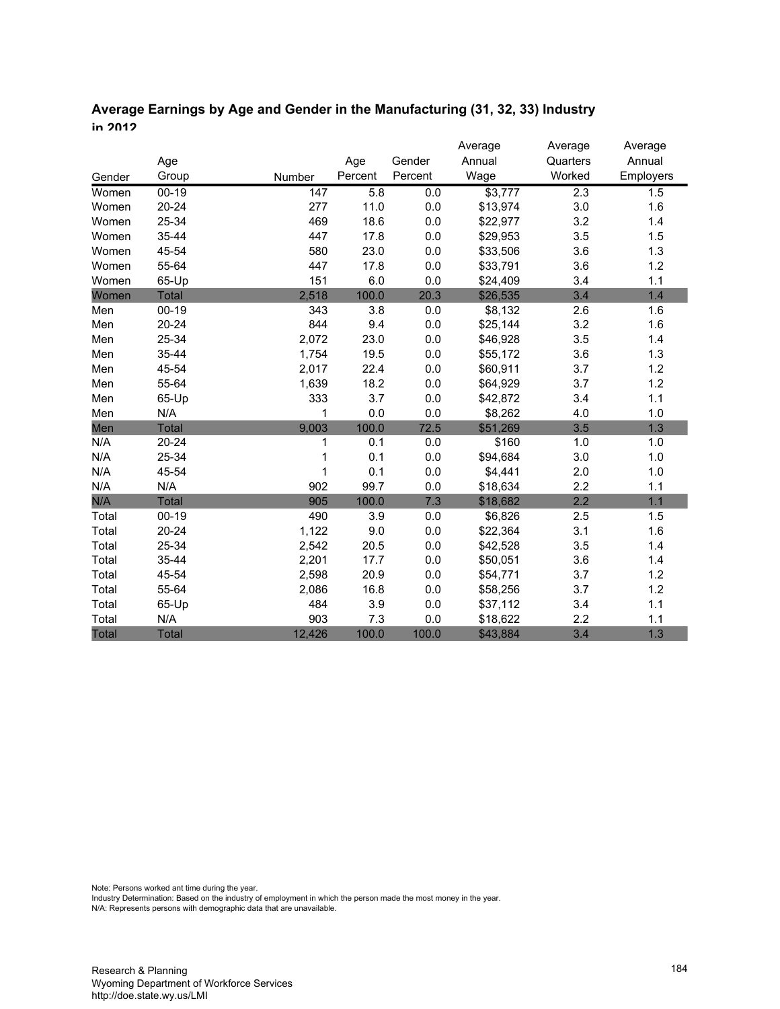| Average Earnings by Age and Gender in the Manufacturing (31, 32, 33) Industry |
|-------------------------------------------------------------------------------|
| in 2012                                                                       |

|              |              |        |         |         | Average  | Average  | Average   |
|--------------|--------------|--------|---------|---------|----------|----------|-----------|
|              | Age          |        | Age     | Gender  | Annual   | Quarters | Annual    |
| Gender       | Group        | Number | Percent | Percent | Wage     | Worked   | Employers |
| Women        | $00 - 19$    | 147    | 5.8     | 0.0     | \$3,777  | 2.3      | 1.5       |
| Women        | $20 - 24$    | 277    | 11.0    | 0.0     | \$13,974 | 3.0      | 1.6       |
| Women        | 25-34        | 469    | 18.6    | 0.0     | \$22,977 | 3.2      | 1.4       |
| Women        | 35-44        | 447    | 17.8    | 0.0     | \$29,953 | 3.5      | 1.5       |
| Women        | 45-54        | 580    | 23.0    | 0.0     | \$33,506 | 3.6      | 1.3       |
| Women        | 55-64        | 447    | 17.8    | 0.0     | \$33,791 | 3.6      | 1.2       |
| Women        | 65-Up        | 151    | 6.0     | 0.0     | \$24,409 | 3.4      | 1.1       |
| Women        | <b>Total</b> | 2,518  | 100.0   | 20.3    | \$26,535 | 3.4      | 1.4       |
| Men          | $00 - 19$    | 343    | 3.8     | 0.0     | \$8,132  | 2.6      | 1.6       |
| Men          | $20 - 24$    | 844    | 9.4     | 0.0     | \$25,144 | 3.2      | 1.6       |
| Men          | 25-34        | 2,072  | 23.0    | 0.0     | \$46,928 | 3.5      | 1.4       |
| Men          | 35-44        | 1,754  | 19.5    | 0.0     | \$55,172 | 3.6      | 1.3       |
| Men          | 45-54        | 2,017  | 22.4    | 0.0     | \$60,911 | 3.7      | 1.2       |
| Men          | 55-64        | 1,639  | 18.2    | 0.0     | \$64,929 | 3.7      | 1.2       |
| Men          | 65-Up        | 333    | 3.7     | 0.0     | \$42,872 | 3.4      | 1.1       |
| Men          | N/A          | 1      | 0.0     | 0.0     | \$8,262  | 4.0      | 1.0       |
| Men          | <b>Total</b> | 9,003  | 100.0   | 72.5    | \$51,269 | 3.5      | 1.3       |
| N/A          | $20 - 24$    | 1      | 0.1     | 0.0     | \$160    | 1.0      | 1.0       |
| N/A          | 25-34        |        | 0.1     | 0.0     | \$94,684 | 3.0      | 1.0       |
| N/A          | 45-54        | 1      | 0.1     | 0.0     | \$4,441  | 2.0      | 1.0       |
| N/A          | N/A          | 902    | 99.7    | 0.0     | \$18,634 | 2.2      | 1.1       |
| N/A          | <b>Total</b> | 905    | 100.0   | 7.3     | \$18,682 | 2.2      | 1.1       |
| Total        | $00 - 19$    | 490    | 3.9     | 0.0     | \$6,826  | 2.5      | 1.5       |
| Total        | 20-24        | 1,122  | 9.0     | 0.0     | \$22,364 | 3.1      | 1.6       |
| Total        | 25-34        | 2,542  | 20.5    | 0.0     | \$42,528 | 3.5      | 1.4       |
| Total        | 35-44        | 2,201  | 17.7    | 0.0     | \$50,051 | 3.6      | 1.4       |
| Total        | 45-54        | 2,598  | 20.9    | 0.0     | \$54,771 | 3.7      | 1.2       |
| Total        | 55-64        | 2,086  | 16.8    | 0.0     | \$58,256 | 3.7      | 1.2       |
| Total        | 65-Up        | 484    | 3.9     | 0.0     | \$37,112 | 3.4      | 1.1       |
| Total        | N/A          | 903    | 7.3     | 0.0     | \$18,622 | 2.2      | 1.1       |
| <b>Total</b> | <b>Total</b> | 12,426 | 100.0   | 100.0   | \$43,884 | 3.4      | 1.3       |

Note: Persons worked ant time during the year.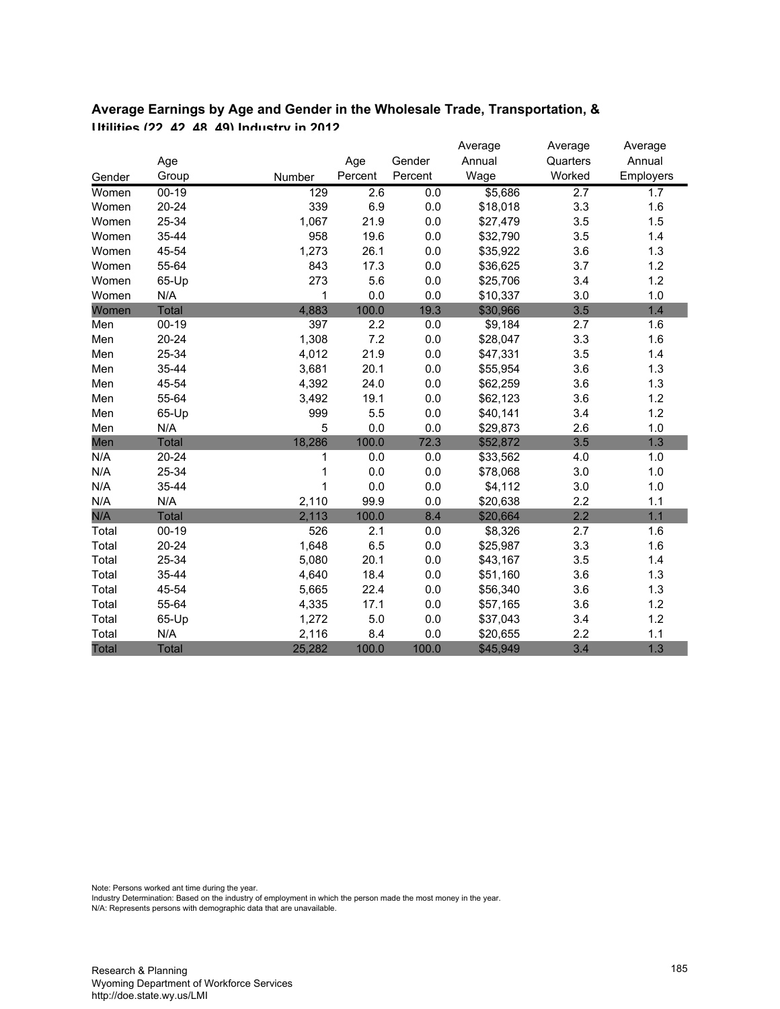|              |              |                  |         |         | Average  | Average  | Average   |
|--------------|--------------|------------------|---------|---------|----------|----------|-----------|
|              | Age          |                  | Age     | Gender  | Annual   | Quarters | Annual    |
| Gender       | Group        | Number           | Percent | Percent | Wage     | Worked   | Employers |
| Women        | $00 - 19$    | $\overline{129}$ | 2.6     | 0.0     | \$5,686  | 2.7      | 1.7       |
| Women        | $20 - 24$    | 339              | 6.9     | 0.0     | \$18,018 | 3.3      | 1.6       |
| Women        | 25-34        | 1,067            | 21.9    | 0.0     | \$27,479 | 3.5      | 1.5       |
| Women        | 35-44        | 958              | 19.6    | 0.0     | \$32,790 | 3.5      | 1.4       |
| Women        | 45-54        | 1,273            | 26.1    | 0.0     | \$35,922 | 3.6      | 1.3       |
| Women        | 55-64        | 843              | 17.3    | 0.0     | \$36,625 | 3.7      | 1.2       |
| Women        | 65-Up        | 273              | 5.6     | 0.0     | \$25,706 | 3.4      | 1.2       |
| Women        | N/A          | 1                | 0.0     | 0.0     | \$10,337 | 3.0      | 1.0       |
| Women        | <b>Total</b> | 4,883            | 100.0   | 19.3    | \$30,966 | 3.5      | 1.4       |
| Men          | $00 - 19$    | 397              | 2.2     | 0.0     | \$9,184  | 2.7      | 1.6       |
| Men          | $20 - 24$    | 1,308            | 7.2     | 0.0     | \$28,047 | 3.3      | 1.6       |
| Men          | 25-34        | 4,012            | 21.9    | 0.0     | \$47,331 | 3.5      | 1.4       |
| Men          | 35-44        | 3,681            | 20.1    | 0.0     | \$55,954 | 3.6      | 1.3       |
| Men          | 45-54        | 4,392            | 24.0    | 0.0     | \$62,259 | 3.6      | 1.3       |
| Men          | 55-64        | 3,492            | 19.1    | 0.0     | \$62,123 | 3.6      | 1.2       |
| Men          | 65-Up        | 999              | 5.5     | 0.0     | \$40,141 | 3.4      | 1.2       |
| Men          | N/A          | 5                | 0.0     | 0.0     | \$29,873 | 2.6      | 1.0       |
| Men          | <b>Total</b> | 18,286           | 100.0   | 72.3    | \$52,872 | 3.5      | 1.3       |
| N/A          | $20 - 24$    | 1                | 0.0     | 0.0     | \$33,562 | 4.0      | 1.0       |
| N/A          | 25-34        |                  | 0.0     | 0.0     | \$78,068 | 3.0      | 1.0       |
| N/A          | 35-44        | 1                | 0.0     | 0.0     | \$4,112  | 3.0      | 1.0       |
| N/A          | N/A          | 2,110            | 99.9    | 0.0     | \$20,638 | 2.2      | 1.1       |
| N/A          | <b>Total</b> | 2,113            | 100.0   | 8.4     | \$20,664 | 2.2      | 1.1       |
| Total        | $00 - 19$    | 526              | 2.1     | 0.0     | \$8,326  | 2.7      | 1.6       |
| Total        | $20 - 24$    | 1,648            | 6.5     | 0.0     | \$25,987 | 3.3      | 1.6       |
| Total        | 25-34        | 5,080            | 20.1    | 0.0     | \$43,167 | 3.5      | 1.4       |
| Total        | 35-44        | 4,640            | 18.4    | 0.0     | \$51,160 | 3.6      | 1.3       |
| Total        | 45-54        | 5,665            | 22.4    | 0.0     | \$56,340 | 3.6      | 1.3       |
| Total        | 55-64        | 4,335            | 17.1    | 0.0     | \$57,165 | 3.6      | 1.2       |
| Total        | 65-Up        | 1,272            | 5.0     | 0.0     | \$37,043 | 3.4      | 1.2       |
| Total        | N/A          | 2,116            | 8.4     | 0.0     | \$20,655 | 2.2      | 1.1       |
| <b>Total</b> | <b>Total</b> | 25,282           | 100.0   | 100.0   | \$45,949 | 3.4      | 1.3       |

# **Average Earnings by Age and Gender in the Wholesale Trade, Transportation, & Utilities (22, 42, 48, 49) Industry in 2012**

Note: Persons worked ant time during the year.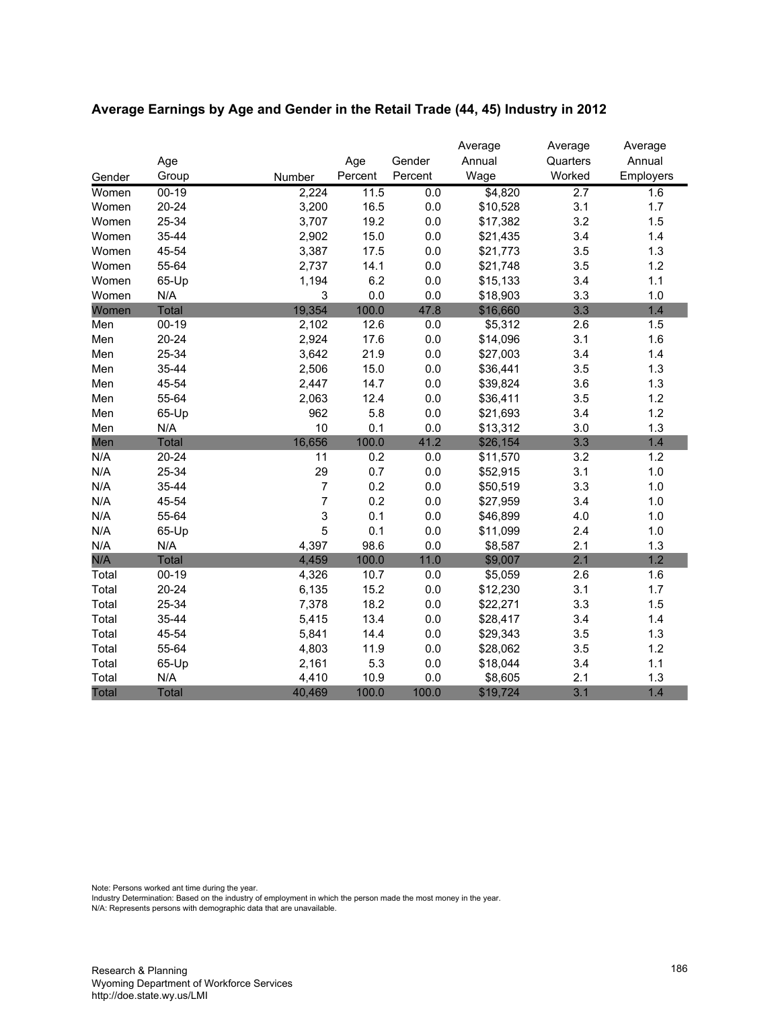|        |              |                  |         |         | Average  | Average          | Average   |
|--------|--------------|------------------|---------|---------|----------|------------------|-----------|
|        | Age          |                  | Age     | Gender  | Annual   | Quarters         | Annual    |
| Gender | Group        | Number           | Percent | Percent | Wage     | Worked           | Employers |
| Women  | $00 - 19$    | 2,224            | 11.5    | 0.0     | \$4,820  | $\overline{2.7}$ | 1.6       |
| Women  | $20 - 24$    | 3,200            | 16.5    | 0.0     | \$10,528 | 3.1              | 1.7       |
| Women  | 25-34        | 3,707            | 19.2    | 0.0     | \$17,382 | 3.2              | 1.5       |
| Women  | 35-44        | 2,902            | 15.0    | 0.0     | \$21,435 | 3.4              | 1.4       |
| Women  | 45-54        | 3,387            | 17.5    | 0.0     | \$21,773 | 3.5              | 1.3       |
| Women  | 55-64        | 2,737            | 14.1    | 0.0     | \$21,748 | 3.5              | 1.2       |
| Women  | 65-Up        | 1,194            | 6.2     | 0.0     | \$15,133 | 3.4              | 1.1       |
| Women  | N/A          | 3                | 0.0     | 0.0     | \$18,903 | 3.3              | 1.0       |
| Women  | <b>Total</b> | 19,354           | 100.0   | 47.8    | \$16,660 | 3.3              | 1.4       |
| Men    | $00 - 19$    | 2,102            | 12.6    | 0.0     | \$5,312  | 2.6              | 1.5       |
| Men    | $20 - 24$    | 2,924            | 17.6    | 0.0     | \$14,096 | 3.1              | 1.6       |
| Men    | 25-34        | 3,642            | 21.9    | 0.0     | \$27,003 | 3.4              | 1.4       |
| Men    | 35-44        | 2,506            | 15.0    | 0.0     | \$36,441 | 3.5              | 1.3       |
| Men    | 45-54        | 2,447            | 14.7    | 0.0     | \$39,824 | 3.6              | 1.3       |
| Men    | 55-64        | 2,063            | 12.4    | 0.0     | \$36,411 | 3.5              | 1.2       |
| Men    | 65-Up        | 962              | 5.8     | 0.0     | \$21,693 | 3.4              | 1.2       |
| Men    | N/A          | 10               | 0.1     | 0.0     | \$13,312 | 3.0              | 1.3       |
| Men    | <b>Total</b> | 16,656           | 100.0   | 41.2    | \$26,154 | 3.3              | 1.4       |
| N/A    | $20 - 24$    | 11               | 0.2     | 0.0     | \$11,570 | 3.2              | 1.2       |
| N/A    | 25-34        | 29               | 0.7     | 0.0     | \$52,915 | 3.1              | 1.0       |
| N/A    | 35-44        | $\boldsymbol{7}$ | 0.2     | 0.0     | \$50,519 | 3.3              | 1.0       |
| N/A    | 45-54        | 7                | 0.2     | 0.0     | \$27,959 | 3.4              | 1.0       |
| N/A    | 55-64        | 3                | 0.1     | 0.0     | \$46,899 | 4.0              | 1.0       |
| N/A    | 65-Up        | 5                | 0.1     | 0.0     | \$11,099 | 2.4              | 1.0       |
| N/A    | N/A          | 4,397            | 98.6    | 0.0     | \$8,587  | 2.1              | 1.3       |
| N/A    | <b>Total</b> | 4,459            | 100.0   | 11.0    | \$9,007  | 2.1              | 1.2       |
| Total  | $00 - 19$    | 4,326            | 10.7    | $0.0\,$ | \$5,059  | 2.6              | 1.6       |
| Total  | $20 - 24$    | 6,135            | 15.2    | 0.0     | \$12,230 | 3.1              | 1.7       |
| Total  | 25-34        | 7,378            | 18.2    | 0.0     | \$22,271 | 3.3              | 1.5       |
| Total  | 35-44        | 5,415            | 13.4    | 0.0     | \$28,417 | 3.4              | 1.4       |
| Total  | 45-54        | 5,841            | 14.4    | $0.0\,$ | \$29,343 | 3.5              | 1.3       |
| Total  | 55-64        | 4,803            | 11.9    | 0.0     | \$28,062 | 3.5              | 1.2       |
| Total  | 65-Up        | 2,161            | 5.3     | 0.0     | \$18,044 | 3.4              | 1.1       |
| Total  | N/A          | 4,410            | 10.9    | 0.0     | \$8,605  | 2.1              | 1.3       |
| Total  | <b>Total</b> | 40,469           | 100.0   | 100.0   | \$19,724 | 3.1              | 1.4       |

# **Average Earnings by Age and Gender in the Retail Trade (44, 45) Industry in 2012**

Note: Persons worked ant time during the year.

Industry Determination: Based on the industry of employment in which the person made the most money in the year.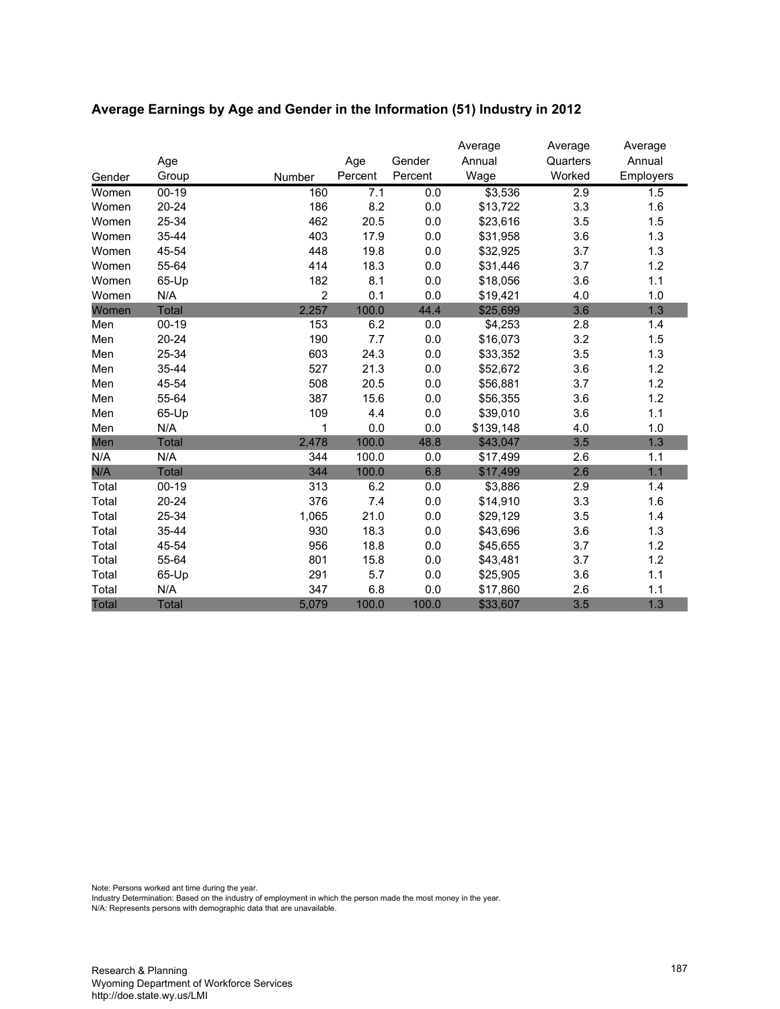|              |           |                |         |         | Average   | Average  | Average   |
|--------------|-----------|----------------|---------|---------|-----------|----------|-----------|
|              | Age       |                | Age     | Gender  | Annual    | Quarters | Annual    |
| Gender       | Group     | Number         | Percent | Percent | Wage      | Worked   | Employers |
| Women        | $00 - 19$ | 160            | 7.1     | 0.0     | \$3,536   | 2.9      | 1.5       |
| Women        | $20 - 24$ | 186            | 8.2     | 0.0     | \$13,722  | 3.3      | 1.6       |
| Women        | 25-34     | 462            | 20.5    | 0.0     | \$23,616  | 3.5      | 1.5       |
| Women        | 35-44     | 403            | 17.9    | 0.0     | \$31,958  | 3.6      | 1.3       |
| Women        | 45-54     | 448            | 19.8    | 0.0     | \$32,925  | 3.7      | 1.3       |
| Women        | 55-64     | 414            | 18.3    | 0.0     | \$31,446  | 3.7      | 1.2       |
| Women        | 65-Up     | 182            | 8.1     | 0.0     | \$18,056  | 3.6      | 1.1       |
| Women        | N/A       | $\overline{2}$ | 0.1     | 0.0     | \$19,421  | 4.0      | 1.0       |
| Women        | Total     | 2,257          | 100.0   | 44.4    | \$25,699  | 3.6      | 1.3       |
| Men          | $00 - 19$ | 153            | 6.2     | 0.0     | \$4,253   | 2.8      | 1.4       |
| Men          | $20 - 24$ | 190            | 7.7     | 0.0     | \$16,073  | 3.2      | 1.5       |
| Men          | 25-34     | 603            | 24.3    | 0.0     | \$33,352  | 3.5      | 1.3       |
| Men          | 35-44     | 527            | 21.3    | 0.0     | \$52,672  | 3.6      | 1.2       |
| Men          | 45-54     | 508            | 20.5    | 0.0     | \$56,881  | 3.7      | 1.2       |
| Men          | 55-64     | 387            | 15.6    | 0.0     | \$56,355  | 3.6      | 1.2       |
| Men          | 65-Up     | 109            | 4.4     | 0.0     | \$39,010  | 3.6      | 1.1       |
| Men          | N/A       | 1              | 0.0     | 0.0     | \$139,148 | 4.0      | 1.0       |
| Men          | Total     | 2,478          | 100.0   | 48.8    | \$43,047  | 3.5      | 1.3       |
| N/A          | N/A       | 344            | 100.0   | 0.0     | \$17,499  | 2.6      | 1.1       |
| N/A          | Total     | 344            | 100.0   | 6.8     | \$17,499  | 2.6      | 1.1       |
| Total        | $00-19$   | 313            | 6.2     | 0.0     | \$3,886   | 2.9      | 1.4       |
| Total        | $20 - 24$ | 376            | 7.4     | 0.0     | \$14,910  | 3.3      | 1.6       |
| Total        | 25-34     | 1,065          | 21.0    | 0.0     | \$29,129  | 3.5      | 1.4       |
| Total        | 35-44     | 930            | 18.3    | 0.0     | \$43,696  | 3.6      | 1.3       |
| Total        | 45-54     | 956            | 18.8    | 0.0     | \$45,655  | 3.7      | 1.2       |
| Total        | 55-64     | 801            | 15.8    | 0.0     | \$43,481  | 3.7      | 1.2       |
| Total        | 65-Up     | 291            | 5.7     | 0.0     | \$25,905  | 3.6      | 1.1       |
| Total        | N/A       | 347            | 6.8     | 0.0     | \$17,860  | 2.6      | 1.1       |
| <b>Total</b> | Total     | 5,079          | 100.0   | 100.0   | \$33,607  | 3.5      | 1.3       |

# **Average Earnings by Age and Gender in the Information (51) Industry in 2012**

Note: Persons worked ant time during the year.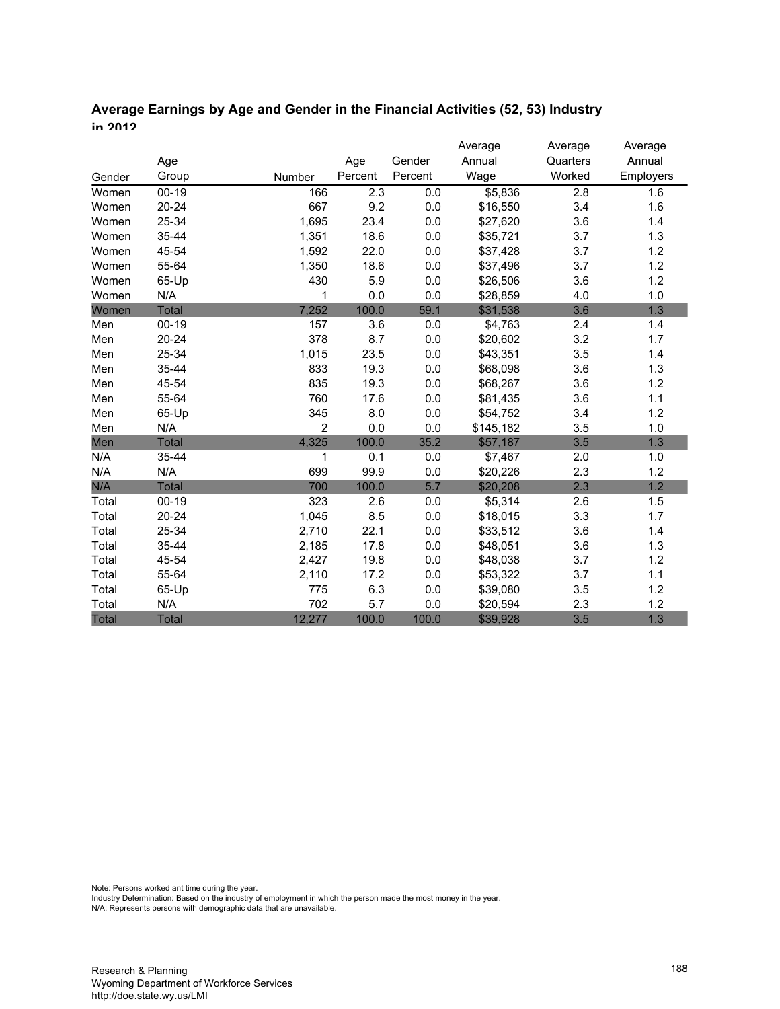# **Average Earnings by Age and Gender in the Financial Activities (52, 53) Industry in 2012**

|        |              |                |         |         | Average   | Average          | Average   |
|--------|--------------|----------------|---------|---------|-----------|------------------|-----------|
|        | Age          |                | Age     | Gender  | Annual    | Quarters         | Annual    |
| Gender | Group        | Number         | Percent | Percent | Wage      | Worked           | Employers |
| Women  | $00 - 19$    | 166            | 2.3     | 0.0     | \$5,836   | $\overline{2.8}$ | 1.6       |
| Women  | $20 - 24$    | 667            | 9.2     | 0.0     | \$16,550  | 3.4              | 1.6       |
| Women  | 25-34        | 1,695          | 23.4    | 0.0     | \$27,620  | 3.6              | 1.4       |
| Women  | 35-44        | 1,351          | 18.6    | 0.0     | \$35,721  | 3.7              | 1.3       |
| Women  | 45-54        | 1,592          | 22.0    | 0.0     | \$37,428  | 3.7              | 1.2       |
| Women  | 55-64        | 1,350          | 18.6    | 0.0     | \$37,496  | 3.7              | 1.2       |
| Women  | 65-Up        | 430            | 5.9     | 0.0     | \$26,506  | 3.6              | 1.2       |
| Women  | N/A          | 1              | 0.0     | 0.0     | \$28,859  | 4.0              | 1.0       |
| Women  | Total        | 7,252          | 100.0   | 59.1    | \$31,538  | 3.6              | 1.3       |
| Men    | $00 - 19$    | 157            | 3.6     | 0.0     | \$4,763   | 2.4              | 1.4       |
| Men    | 20-24        | 378            | 8.7     | 0.0     | \$20,602  | 3.2              | 1.7       |
| Men    | 25-34        | 1,015          | 23.5    | 0.0     | \$43,351  | 3.5              | 1.4       |
| Men    | 35-44        | 833            | 19.3    | 0.0     | \$68,098  | 3.6              | 1.3       |
| Men    | 45-54        | 835            | 19.3    | 0.0     | \$68,267  | 3.6              | 1.2       |
| Men    | 55-64        | 760            | 17.6    | 0.0     | \$81,435  | 3.6              | 1.1       |
| Men    | 65-Up        | 345            | 8.0     | $0.0\,$ | \$54,752  | 3.4              | 1.2       |
| Men    | N/A          | $\overline{2}$ | 0.0     | 0.0     | \$145,182 | 3.5              | 1.0       |
| Men    | <b>Total</b> | 4,325          | 100.0   | 35.2    | \$57,187  | 3.5              | 1.3       |
| N/A    | 35-44        | 1              | 0.1     | 0.0     | \$7,467   | 2.0              | 1.0       |
| N/A    | N/A          | 699            | 99.9    | 0.0     | \$20,226  | 2.3              | 1.2       |
| N/A    | <b>Total</b> | 700            | 100.0   | 5.7     | \$20,208  | 2.3              | 1.2       |
| Total  | $00-19$      | 323            | 2.6     | 0.0     | \$5,314   | 2.6              | 1.5       |
| Total  | $20 - 24$    | 1,045          | 8.5     | 0.0     | \$18,015  | 3.3              | 1.7       |
| Total  | 25-34        | 2,710          | 22.1    | 0.0     | \$33,512  | 3.6              | 1.4       |
| Total  | 35-44        | 2,185          | 17.8    | 0.0     | \$48,051  | 3.6              | 1.3       |
| Total  | 45-54        | 2,427          | 19.8    | 0.0     | \$48,038  | 3.7              | 1.2       |
| Total  | 55-64        | 2,110          | 17.2    | 0.0     | \$53,322  | 3.7              | 1.1       |
| Total  | 65-Up        | 775            | 6.3     | 0.0     | \$39,080  | 3.5              | 1.2       |
| Total  | N/A          | 702            | 5.7     | 0.0     | \$20,594  | 2.3              | 1.2       |
| Total  | Total        | 12,277         | 100.0   | 100.0   | \$39,928  | 3.5              | 1.3       |

Note: Persons worked ant time during the year.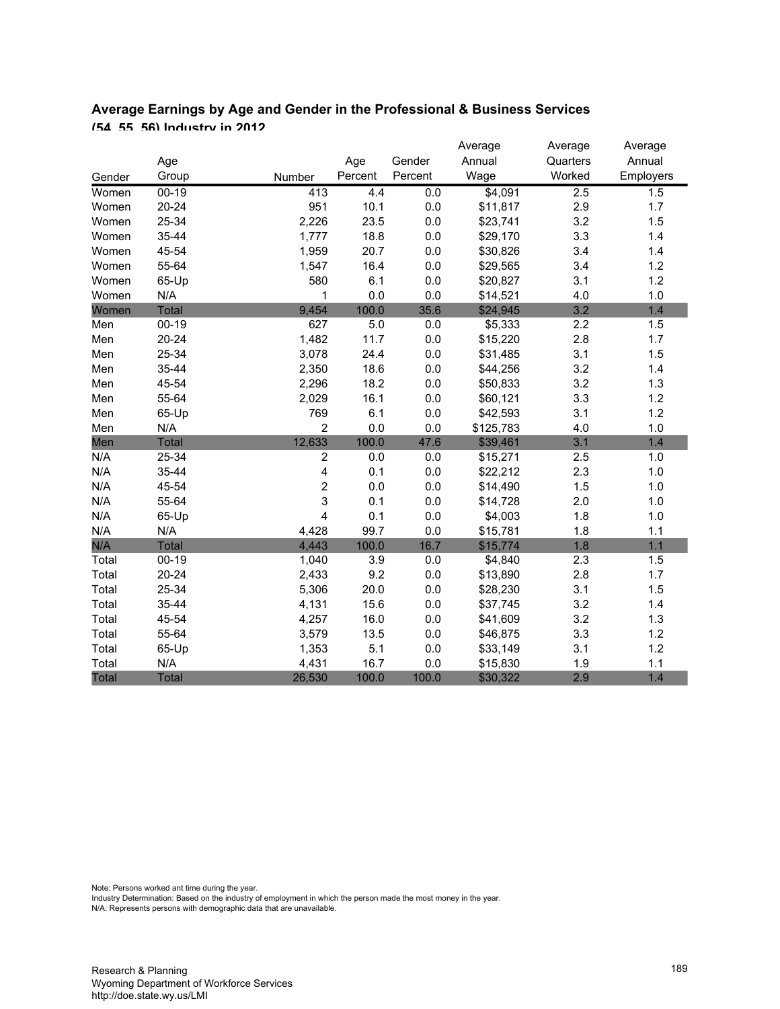|              |              |                         |         |         | Average   | Average  | Average   |
|--------------|--------------|-------------------------|---------|---------|-----------|----------|-----------|
|              | Age          |                         | Age     | Gender  | Annual    | Quarters | Annual    |
| Gender       | Group        | Number                  | Percent | Percent | Wage      | Worked   | Employers |
| Women        | $00 - 19$    | 413                     | 4.4     | 0.0     | \$4,091   | 2.5      | 1.5       |
| Women        | 20-24        | 951                     | 10.1    | $0.0\,$ | \$11,817  | 2.9      | 1.7       |
| Women        | 25-34        | 2,226                   | 23.5    | 0.0     | \$23,741  | 3.2      | 1.5       |
| Women        | 35-44        | 1,777                   | 18.8    | $0.0\,$ | \$29,170  | 3.3      | 1.4       |
| Women        | 45-54        | 1,959                   | 20.7    | 0.0     | \$30,826  | 3.4      | 1.4       |
| Women        | 55-64        | 1,547                   | 16.4    | $0.0\,$ | \$29,565  | 3.4      | 1.2       |
| Women        | 65-Up        | 580                     | 6.1     | 0.0     | \$20,827  | 3.1      | 1.2       |
| Women        | N/A          | 1                       | 0.0     | 0.0     | \$14,521  | 4.0      | 1.0       |
| Women        | Total        | 9,454                   | 100.0   | 35.6    | \$24,945  | 3.2      | 1.4       |
| Men          | $00-19$      | 627                     | 5.0     | $0.0\,$ | \$5,333   | 2.2      | 1.5       |
| Men          | $20 - 24$    | 1,482                   | 11.7    | 0.0     | \$15,220  | 2.8      | 1.7       |
| Men          | 25-34        | 3,078                   | 24.4    | $0.0\,$ | \$31,485  | 3.1      | 1.5       |
| Men          | 35-44        | 2,350                   | 18.6    | 0.0     | \$44,256  | 3.2      | 1.4       |
| Men          | 45-54        | 2,296                   | 18.2    | 0.0     | \$50,833  | 3.2      | 1.3       |
| Men          | 55-64        | 2,029                   | 16.1    | 0.0     | \$60,121  | 3.3      | 1.2       |
| Men          | 65-Up        | 769                     | 6.1     | $0.0\,$ | \$42,593  | 3.1      | 1.2       |
| Men          | N/A          | $\overline{2}$          | 0.0     | 0.0     | \$125,783 | 4.0      | 1.0       |
| Men          | Total        | 12,633                  | 100.0   | 47.6    | \$39,461  | 3.1      | 1.4       |
| N/A          | 25-34        | $\overline{2}$          | 0.0     | 0.0     | \$15,271  | 2.5      | 1.0       |
| N/A          | 35-44        | $\overline{\mathbf{4}}$ | 0.1     | $0.0\,$ | \$22,212  | 2.3      | 1.0       |
| N/A          | 45-54        | 2                       | 0.0     | $0.0\,$ | \$14,490  | 1.5      | 1.0       |
| N/A          | 55-64        | 3                       | 0.1     | 0.0     | \$14,728  | 2.0      | 1.0       |
| N/A          | 65-Up        | $\overline{\mathbf{4}}$ | 0.1     | 0.0     | \$4,003   | 1.8      | 1.0       |
| N/A          | N/A          | 4,428                   | 99.7    | 0.0     | \$15,781  | 1.8      | 1.1       |
| N/A          | Total        | 4,443                   | 100.0   | 16.7    | \$15,774  | 1.8      | 1.1       |
| Total        | $00-19$      | 1,040                   | 3.9     | 0.0     | \$4,840   | 2.3      | 1.5       |
| Total        | $20 - 24$    | 2,433                   | 9.2     | $0.0\,$ | \$13,890  | 2.8      | 1.7       |
| Total        | 25-34        | 5,306                   | 20.0    | $0.0\,$ | \$28,230  | 3.1      | 1.5       |
| Total        | 35-44        | 4,131                   | 15.6    | $0.0\,$ | \$37,745  | 3.2      | 1.4       |
| Total        | 45-54        | 4,257                   | 16.0    | $0.0\,$ | \$41,609  | 3.2      | 1.3       |
| Total        | 55-64        | 3,579                   | 13.5    | 0.0     | \$46,875  | 3.3      | 1.2       |
| Total        | 65-Up        | 1,353                   | 5.1     | $0.0\,$ | \$33,149  | 3.1      | 1.2       |
| Total        | N/A          | 4,431                   | 16.7    | 0.0     | \$15,830  | 1.9      | 1.1       |
| <b>Total</b> | <b>Total</b> | 26,530                  | 100.0   | 100.0   | \$30,322  | 2.9      | 1.4       |

# **Average Earnings by Age and Gender in the Professional & Business Services (54, 55, 56) Industry in 2012**

Note: Persons worked ant time during the year.

Industry Determination: Based on the industry of employment in which the person made the most money in the year.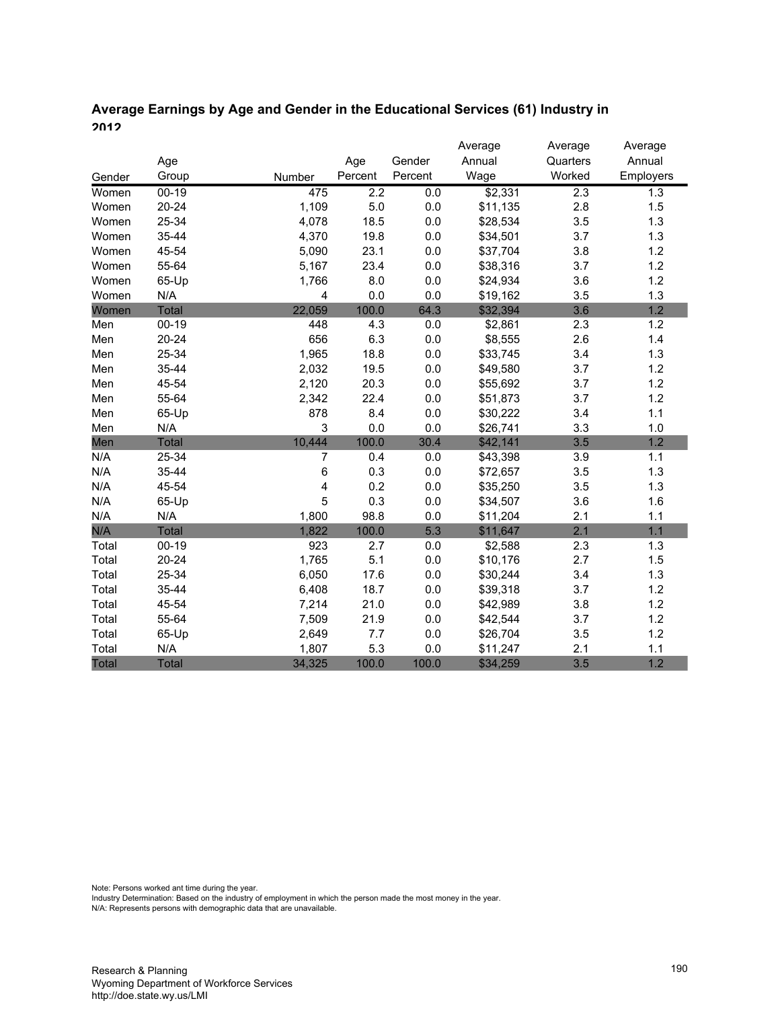# **Average Earnings by Age and Gender in the Educational Services (61) Industry in 2012**

|        |              |                |                  |         | Average  | Average  | Average   |
|--------|--------------|----------------|------------------|---------|----------|----------|-----------|
|        | Age          |                | Age              | Gender  | Annual   | Quarters | Annual    |
| Gender | Group        | Number         | Percent          | Percent | Wage     | Worked   | Employers |
| Women  | $00 - 19$    | 475            | $\overline{2.2}$ | 0.0     | \$2,331  | 2.3      | 1.3       |
| Women  | $20 - 24$    | 1,109          | $5.0$            | $0.0\,$ | \$11,135 | 2.8      | 1.5       |
| Women  | 25-34        | 4,078          | 18.5             | 0.0     | \$28,534 | 3.5      | 1.3       |
| Women  | 35-44        | 4,370          | 19.8             | $0.0\,$ | \$34,501 | 3.7      | 1.3       |
| Women  | 45-54        | 5,090          | 23.1             | 0.0     | \$37,704 | 3.8      | 1.2       |
| Women  | 55-64        | 5,167          | 23.4             | 0.0     | \$38,316 | 3.7      | 1.2       |
| Women  | 65-Up        | 1,766          | 8.0              | 0.0     | \$24,934 | 3.6      | 1.2       |
| Women  | N/A          | $\overline{4}$ | 0.0              | 0.0     | \$19,162 | 3.5      | 1.3       |
| Women  | <b>Total</b> | 22,059         | 100.0            | 64.3    | \$32,394 | 3.6      | 1.2       |
| Men    | $00-19$      | 448            | 4.3              | 0.0     | \$2,861  | 2.3      | 1.2       |
| Men    | $20 - 24$    | 656            | 6.3              | $0.0\,$ | \$8,555  | 2.6      | 1.4       |
| Men    | 25-34        | 1,965          | 18.8             | 0.0     | \$33,745 | 3.4      | 1.3       |
| Men    | 35-44        | 2,032          | 19.5             | 0.0     | \$49,580 | 3.7      | 1.2       |
| Men    | 45-54        | 2,120          | 20.3             | 0.0     | \$55,692 | 3.7      | 1.2       |
| Men    | 55-64        | 2,342          | 22.4             | 0.0     | \$51,873 | 3.7      | 1.2       |
| Men    | 65-Up        | 878            | 8.4              | 0.0     | \$30,222 | 3.4      | 1.1       |
| Men    | N/A          | 3              | 0.0              | 0.0     | \$26,741 | 3.3      | 1.0       |
| Men    | <b>Total</b> | 10,444         | 100.0            | 30.4    | \$42,141 | 3.5      | 1.2       |
| N/A    | 25-34        | 7              | 0.4              | 0.0     | \$43,398 | 3.9      | 1.1       |
| N/A    | 35-44        | 6              | 0.3              | 0.0     | \$72,657 | 3.5      | 1.3       |
| N/A    | 45-54        | 4              | 0.2              | 0.0     | \$35,250 | 3.5      | 1.3       |
| N/A    | 65-Up        | 5              | 0.3              | 0.0     | \$34,507 | 3.6      | 1.6       |
| N/A    | N/A          | 1,800          | 98.8             | 0.0     | \$11,204 | 2.1      | 1.1       |
| N/A    | Total        | 1,822          | 100.0            | 5.3     | \$11,647 | 2.1      | 1.1       |
| Total  | $00 - 19$    | 923            | 2.7              | 0.0     | \$2,588  | 2.3      | 1.3       |
| Total  | $20 - 24$    | 1,765          | 5.1              | 0.0     | \$10,176 | 2.7      | 1.5       |
| Total  | 25-34        | 6,050          | 17.6             | 0.0     | \$30,244 | 3.4      | 1.3       |
| Total  | 35-44        | 6,408          | 18.7             | 0.0     | \$39,318 | 3.7      | 1.2       |
| Total  | 45-54        | 7,214          | 21.0             | 0.0     | \$42,989 | 3.8      | 1.2       |
| Total  | 55-64        | 7,509          | 21.9             | 0.0     | \$42,544 | 3.7      | 1.2       |
| Total  | 65-Up        | 2,649          | $7.7$            | 0.0     | \$26,704 | 3.5      | 1.2       |
| Total  | N/A          | 1,807          | 5.3              | 0.0     | \$11,247 | 2.1      | 1.1       |
| Total  | <b>Total</b> | 34,325         | 100.0            | 100.0   | \$34,259 | 3.5      | 1.2       |

Note: Persons worked ant time during the year.

Industry Determination: Based on the industry of employment in which the person made the most money in the year.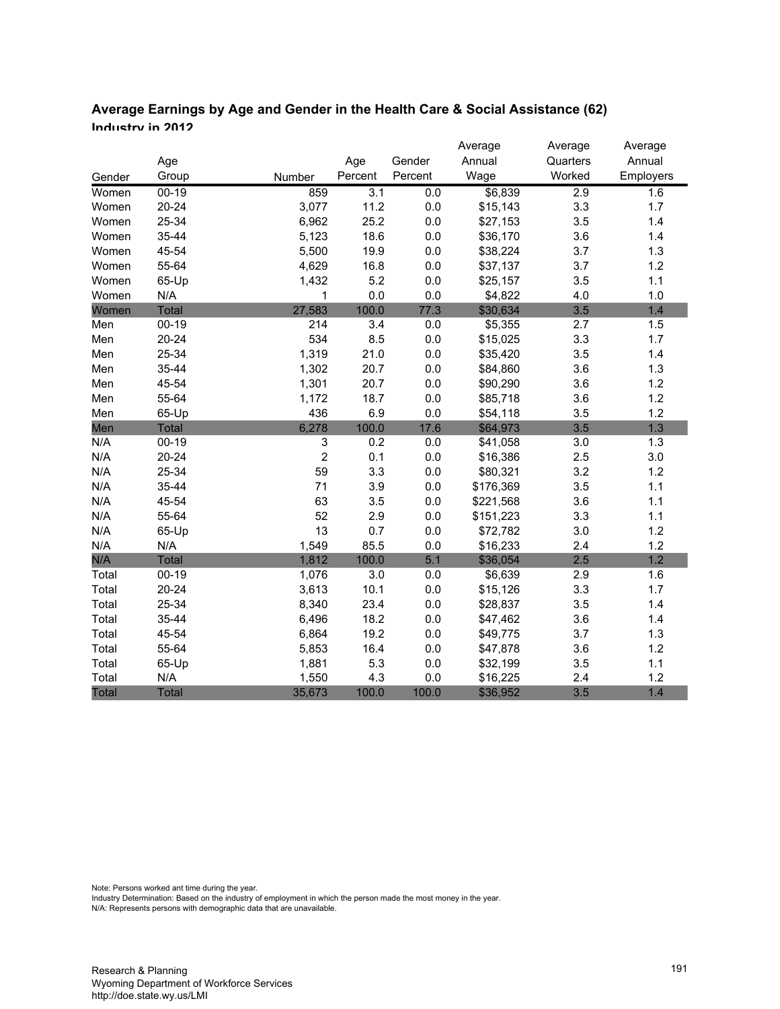# **Average Earnings by Age and Gender in the Health Care & Social Assistance (62) Industry in 2012**

|              |              |             |         |         | Average   | Average          | Average   |
|--------------|--------------|-------------|---------|---------|-----------|------------------|-----------|
|              | Age          |             | Age     | Gender  | Annual    | Quarters         | Annual    |
| Gender       | Group        | Number      | Percent | Percent | Wage      | Worked           | Employers |
| Women        | $00 - 19$    | 859         | 3.1     | 0.0     | \$6,839   | $\overline{2.9}$ | 1.6       |
| Women        | $20 - 24$    | 3,077       | 11.2    | 0.0     | \$15,143  | 3.3              | 1.7       |
| Women        | 25-34        | 6,962       | 25.2    | 0.0     | \$27,153  | 3.5              | 1.4       |
| Women        | 35-44        | 5,123       | 18.6    | $0.0\,$ | \$36,170  | 3.6              | 1.4       |
| Women        | 45-54        | 5,500       | 19.9    | 0.0     | \$38,224  | 3.7              | 1.3       |
| Women        | 55-64        | 4,629       | 16.8    | 0.0     | \$37,137  | 3.7              | 1.2       |
| Women        | 65-Up        | 1,432       | 5.2     | 0.0     | \$25,157  | 3.5              | 1.1       |
| Women        | N/A          | 1           | 0.0     | 0.0     | \$4,822   | 4.0              | 1.0       |
| Women        | <b>Total</b> | 27,583      | 100.0   | 77.3    | \$30,634  | 3.5              | 1.4       |
| Men          | $00 - 19$    | 214         | 3.4     | 0.0     | \$5,355   | 2.7              | 1.5       |
| Men          | $20 - 24$    | 534         | 8.5     | 0.0     | \$15,025  | 3.3              | 1.7       |
| Men          | 25-34        | 1,319       | 21.0    | 0.0     | \$35,420  | 3.5              | 1.4       |
| Men          | 35-44        | 1,302       | 20.7    | 0.0     | \$84,860  | 3.6              | 1.3       |
| Men          | 45-54        | 1,301       | 20.7    | 0.0     | \$90,290  | 3.6              | 1.2       |
| Men          | 55-64        | 1,172       | 18.7    | 0.0     | \$85,718  | 3.6              | 1.2       |
| Men          | 65-Up        | 436         | 6.9     | 0.0     | \$54,118  | 3.5              | 1.2       |
| Men          | Total        | 6,278       | 100.0   | 17.6    | \$64,973  | 3.5              | 1.3       |
| N/A          | $00 - 19$    | 3           | 0.2     | 0.0     | \$41,058  | 3.0              | 1.3       |
| N/A          | $20 - 24$    | $\mathbf 2$ | 0.1     | 0.0     | \$16,386  | 2.5              | 3.0       |
| N/A          | 25-34        | 59          | 3.3     | $0.0\,$ | \$80,321  | 3.2              | 1.2       |
| N/A          | 35-44        | 71          | 3.9     | 0.0     | \$176,369 | 3.5              | 1.1       |
| N/A          | 45-54        | 63          | 3.5     | 0.0     | \$221,568 | 3.6              | 1.1       |
| N/A          | 55-64        | 52          | 2.9     | 0.0     | \$151,223 | 3.3              | 1.1       |
| N/A          | 65-Up        | 13          | 0.7     | 0.0     | \$72,782  | 3.0              | 1.2       |
| N/A          | N/A          | 1,549       | 85.5    | 0.0     | \$16,233  | 2.4              | 1.2       |
| N/A          | Total        | 1,812       | 100.0   | 5.1     | \$36,054  | 2.5              | 1.2       |
| Total        | $00-19$      | 1,076       | 3.0     | 0.0     | \$6,639   | 2.9              | 1.6       |
| Total        | $20 - 24$    | 3,613       | 10.1    | 0.0     | \$15,126  | 3.3              | 1.7       |
| Total        | 25-34        | 8,340       | 23.4    | 0.0     | \$28,837  | 3.5              | 1.4       |
| Total        | 35-44        | 6,496       | 18.2    | 0.0     | \$47,462  | 3.6              | 1.4       |
| Total        | 45-54        | 6,864       | 19.2    | 0.0     | \$49,775  | 3.7              | 1.3       |
| Total        | 55-64        | 5,853       | 16.4    | 0.0     | \$47,878  | 3.6              | 1.2       |
| Total        | 65-Up        | 1,881       | 5.3     | 0.0     | \$32,199  | 3.5              | 1.1       |
| Total        | N/A          | 1,550       | 4.3     | 0.0     | \$16,225  | 2.4              | 1.2       |
| <b>Total</b> | <b>Total</b> | 35,673      | 100.0   | 100.0   | \$36,952  | 3.5              | 1.4       |

Note: Persons worked ant time during the year.

Industry Determination: Based on the industry of employment in which the person made the most money in the year.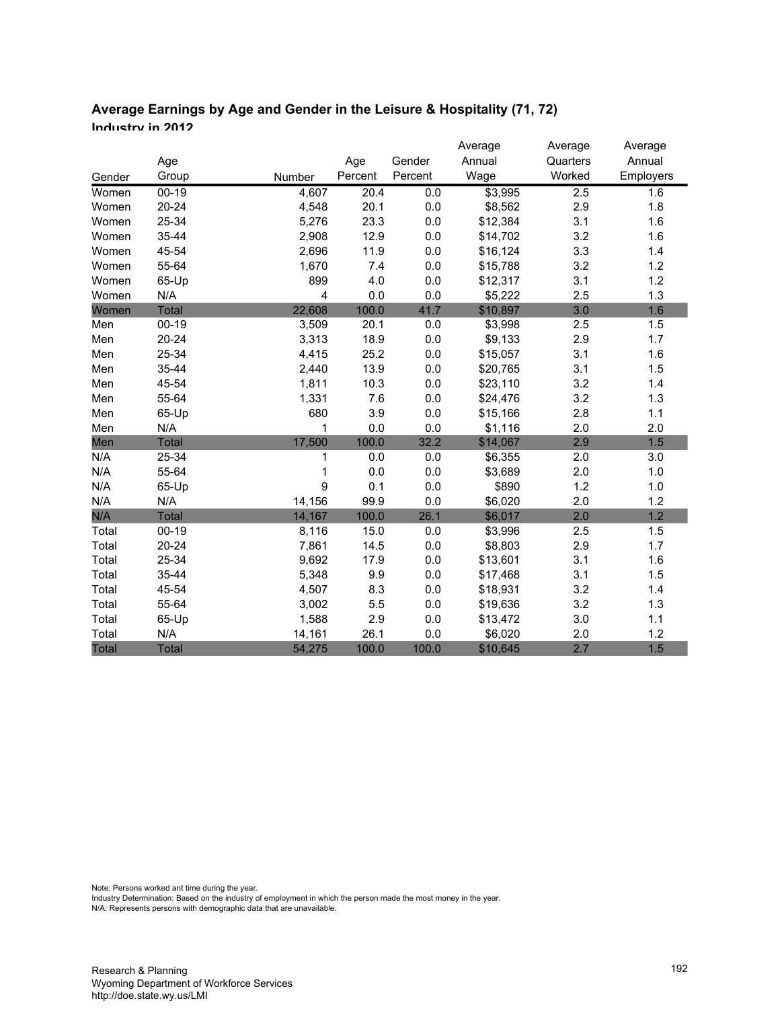#### **Average Earnings by Age and Gender in the Leisure & Hospitality (71, 72) Industry in 2012**

|        |              |        |         |         | Average  | Average  | Average   |
|--------|--------------|--------|---------|---------|----------|----------|-----------|
|        | Age          |        | Age     | Gender  | Annual   | Quarters | Annual    |
| Gender | Group        | Number | Percent | Percent | Wage     | Worked   | Employers |
| Women  | $00 - 19$    | 4,607  | 20.4    | 0.0     | \$3,995  | 2.5      | 1.6       |
| Women  | $20 - 24$    | 4,548  | 20.1    | 0.0     | \$8,562  | 2.9      | 1.8       |
| Women  | 25-34        | 5,276  | 23.3    | 0.0     | \$12,384 | 3.1      | 1.6       |
| Women  | 35-44        | 2,908  | 12.9    | 0.0     | \$14,702 | 3.2      | 1.6       |
| Women  | 45-54        | 2,696  | 11.9    | 0.0     | \$16,124 | 3.3      | 1.4       |
| Women  | 55-64        | 1,670  | 7.4     | 0.0     | \$15,788 | 3.2      | 1.2       |
| Women  | 65-Up        | 899    | 4.0     | 0.0     | \$12,317 | 3.1      | 1.2       |
| Women  | N/A          | 4      | 0.0     | 0.0     | \$5,222  | 2.5      | 1.3       |
| Women  | <b>Total</b> | 22,608 | 100.0   | 41.7    | \$10,897 | 3.0      | 1.6       |
| Men    | $00 - 19$    | 3,509  | 20.1    | 0.0     | \$3,998  | 2.5      | 1.5       |
| Men    | $20 - 24$    | 3,313  | 18.9    | 0.0     | \$9,133  | 2.9      | 1.7       |
| Men    | 25-34        | 4,415  | 25.2    | 0.0     | \$15,057 | 3.1      | 1.6       |
| Men    | 35-44        | 2,440  | 13.9    | 0.0     | \$20,765 | 3.1      | 1.5       |
| Men    | 45-54        | 1,811  | 10.3    | 0.0     | \$23,110 | 3.2      | 1.4       |
| Men    | 55-64        | 1,331  | 7.6     | 0.0     | \$24,476 | 3.2      | 1.3       |
| Men    | 65-Up        | 680    | 3.9     | 0.0     | \$15,166 | 2.8      | 1.1       |
| Men    | N/A          | 1      | 0.0     | 0.0     | \$1,116  | 2.0      | 2.0       |
| Men    | <b>Total</b> | 17,500 | 100.0   | 32.2    | \$14,067 | 2.9      | 1.5       |
| N/A    | 25-34        | 1      | 0.0     | 0.0     | \$6,355  | 2.0      | 3.0       |
| N/A    | 55-64        | 1      | $0.0\,$ | 0.0     | \$3,689  | 2.0      | 1.0       |
| N/A    | 65-Up        | 9      | 0.1     | 0.0     | \$890    | 1.2      | 1.0       |
| N/A    | N/A          | 14,156 | 99.9    | 0.0     | \$6,020  | 2.0      | 1.2       |
| N/A    | <b>Total</b> | 14,167 | 100.0   | 26.1    | \$6,017  | 2.0      | 1.2       |
| Total  | $00 - 19$    | 8,116  | 15.0    | 0.0     | \$3,996  | 2.5      | 1.5       |
| Total  | 20-24        | 7,861  | 14.5    | 0.0     | \$8,803  | 2.9      | 1.7       |
| Total  | 25-34        | 9,692  | 17.9    | 0.0     | \$13,601 | 3.1      | 1.6       |
| Total  | 35-44        | 5,348  | 9.9     | 0.0     | \$17,468 | 3.1      | 1.5       |
| Total  | 45-54        | 4,507  | 8.3     | 0.0     | \$18,931 | 3.2      | 1.4       |
| Total  | 55-64        | 3,002  | 5.5     | 0.0     | \$19,636 | 3.2      | 1.3       |
| Total  | 65-Up        | 1,588  | 2.9     | 0.0     | \$13,472 | 3.0      | 1.1       |
| Total  | N/A          | 14,161 | 26.1    | 0.0     | \$6,020  | 2.0      | 1.2       |
| Total  | <b>Total</b> | 54,275 | 100.0   | 100.0   | \$10,645 | 2.7      | 1.5       |

Note: Persons worked ant time during the year.

Industry Determination: Based on the industry of employment in which the person made the most money in the year.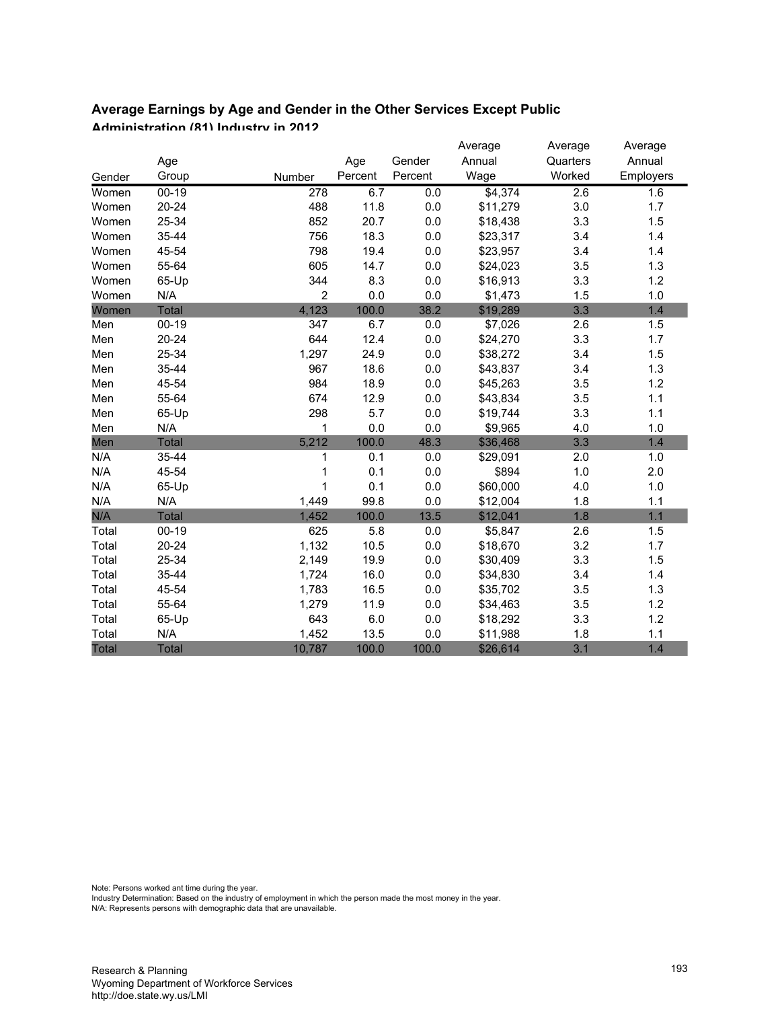#### **Average Earnings by Age and Gender in the Other Services Except Public Administration (81) Industry in 2012**

|        |              |                |         |         | Average  | Average  | Average   |
|--------|--------------|----------------|---------|---------|----------|----------|-----------|
|        | Age          |                | Age     | Gender  | Annual   | Quarters | Annual    |
| Gender | Group        | Number         | Percent | Percent | Wage     | Worked   | Employers |
| Women  | $00 - 19$    | 278            | 6.7     | 0.0     | \$4,374  | 2.6      | 1.6       |
| Women  | $20 - 24$    | 488            | 11.8    | 0.0     | \$11,279 | 3.0      | 1.7       |
| Women  | 25-34        | 852            | 20.7    | $0.0\,$ | \$18,438 | 3.3      | 1.5       |
| Women  | 35-44        | 756            | 18.3    | $0.0\,$ | \$23,317 | 3.4      | 1.4       |
| Women  | 45-54        | 798            | 19.4    | $0.0\,$ | \$23,957 | 3.4      | 1.4       |
| Women  | 55-64        | 605            | 14.7    | 0.0     | \$24,023 | 3.5      | 1.3       |
| Women  | 65-Up        | 344            | 8.3     | 0.0     | \$16,913 | 3.3      | 1.2       |
| Women  | N/A          | $\overline{c}$ | 0.0     | 0.0     | \$1,473  | 1.5      | 1.0       |
| Women  | <b>Total</b> | 4,123          | 100.0   | 38.2    | \$19,289 | 3.3      | 1.4       |
| Men    | $00-19$      | 347            | 6.7     | 0.0     | \$7,026  | 2.6      | 1.5       |
| Men    | $20 - 24$    | 644            | 12.4    | $0.0\,$ | \$24,270 | 3.3      | 1.7       |
| Men    | 25-34        | 1,297          | 24.9    | $0.0\,$ | \$38,272 | 3.4      | 1.5       |
| Men    | 35-44        | 967            | 18.6    | $0.0\,$ | \$43,837 | 3.4      | 1.3       |
| Men    | 45-54        | 984            | 18.9    | 0.0     | \$45,263 | 3.5      | 1.2       |
| Men    | 55-64        | 674            | 12.9    | 0.0     | \$43,834 | 3.5      | 1.1       |
| Men    | 65-Up        | 298            | 5.7     | 0.0     | \$19,744 | 3.3      | 1.1       |
| Men    | N/A          | 1              | 0.0     | 0.0     | \$9,965  | 4.0      | 1.0       |
| Men    | <b>Total</b> | 5,212          | 100.0   | 48.3    | \$36,468 | 3.3      | 1.4       |
| N/A    | 35-44        | 1              | 0.1     | 0.0     | \$29,091 | 2.0      | 1.0       |
| N/A    | 45-54        | 1              | 0.1     | $0.0\,$ | \$894    | $1.0$    | 2.0       |
| N/A    | 65-Up        | 1              | 0.1     | 0.0     | \$60,000 | 4.0      | 1.0       |
| N/A    | N/A          | 1,449          | 99.8    | 0.0     | \$12,004 | 1.8      | 1.1       |
| N/A    | <b>Total</b> | 1,452          | 100.0   | 13.5    | \$12,041 | 1.8      | 1.1       |
| Total  | $00 - 19$    | 625            | 5.8     | 0.0     | \$5,847  | 2.6      | 1.5       |
| Total  | $20 - 24$    | 1,132          | 10.5    | 0.0     | \$18,670 | 3.2      | 1.7       |
| Total  | 25-34        | 2,149          | 19.9    | $0.0\,$ | \$30,409 | 3.3      | 1.5       |
| Total  | 35-44        | 1,724          | 16.0    | $0.0\,$ | \$34,830 | 3.4      | 1.4       |
| Total  | 45-54        | 1,783          | 16.5    | 0.0     | \$35,702 | 3.5      | 1.3       |
| Total  | 55-64        | 1,279          | 11.9    | 0.0     | \$34,463 | 3.5      | 1.2       |
| Total  | 65-Up        | 643            | 6.0     | $0.0\,$ | \$18,292 | 3.3      | 1.2       |
| Total  | N/A          | 1,452          | 13.5    | 0.0     | \$11,988 | 1.8      | 1.1       |
| Total  | <b>Total</b> | 10,787         | 100.0   | 100.0   | \$26,614 | 3.1      | 1.4       |

Note: Persons worked ant time during the year.

Industry Determination: Based on the industry of employment in which the person made the most money in the year.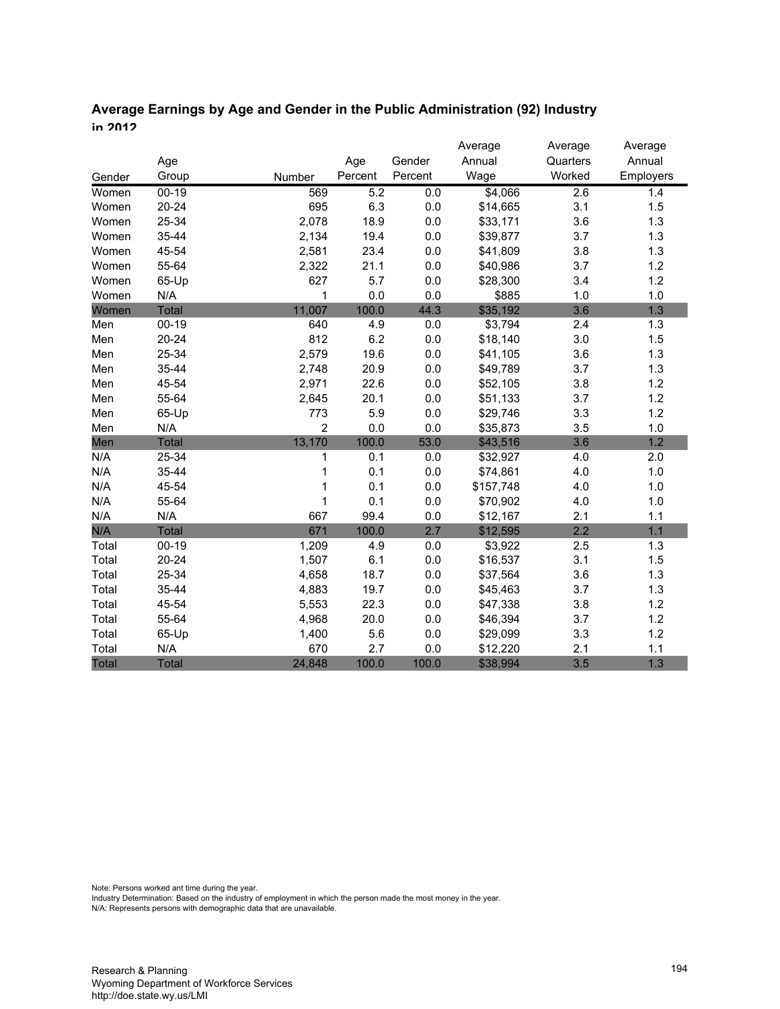# **Average Earnings by Age and Gender in the Public Administration (92) Industry in 2012**

|              |              |                |         |         | Average   | Average  | Average   |
|--------------|--------------|----------------|---------|---------|-----------|----------|-----------|
|              | Age          |                | Age     | Gender  | Annual    | Quarters | Annual    |
| Gender       | Group        | Number         | Percent | Percent | Wage      | Worked   | Employers |
| Women        | $00 - 19$    | 569            | 5.2     | 0.0     | \$4,066   | 2.6      | 1.4       |
| Women        | $20 - 24$    | 695            | 6.3     | 0.0     | \$14,665  | 3.1      | 1.5       |
| Women        | 25-34        | 2,078          | 18.9    | 0.0     | \$33,171  | 3.6      | 1.3       |
| Women        | 35-44        | 2,134          | 19.4    | 0.0     | \$39,877  | 3.7      | 1.3       |
| Women        | 45-54        | 2,581          | 23.4    | 0.0     | \$41,809  | 3.8      | 1.3       |
| Women        | 55-64        | 2,322          | 21.1    | 0.0     | \$40,986  | 3.7      | 1.2       |
| Women        | 65-Up        | 627            | 5.7     | 0.0     | \$28,300  | 3.4      | 1.2       |
| Women        | N/A          | 1              | 0.0     | 0.0     | \$885     | 1.0      | 1.0       |
| Women        | <b>Total</b> | 11,007         | 100.0   | 44.3    | \$35,192  | 3.6      | 1.3       |
| Men          | $00-19$      | 640            | 4.9     | 0.0     | \$3,794   | 2.4      | 1.3       |
| Men          | $20 - 24$    | 812            | 6.2     | $0.0\,$ | \$18,140  | 3.0      | 1.5       |
| Men          | 25-34        | 2,579          | 19.6    | 0.0     | \$41,105  | 3.6      | 1.3       |
| Men          | 35-44        | 2,748          | 20.9    | 0.0     | \$49,789  | 3.7      | 1.3       |
| Men          | 45-54        | 2,971          | 22.6    | 0.0     | \$52,105  | 3.8      | 1.2       |
| Men          | 55-64        | 2,645          | 20.1    | 0.0     | \$51,133  | 3.7      | 1.2       |
| Men          | 65-Up        | 773            | 5.9     | 0.0     | \$29,746  | 3.3      | 1.2       |
| Men          | N/A          | $\overline{2}$ | 0.0     | 0.0     | \$35,873  | 3.5      | 1.0       |
| Men          | <b>Total</b> | 13,170         | 100.0   | 53.0    | \$43,516  | 3.6      | 1.2       |
| N/A          | 25-34        | 1              | 0.1     | 0.0     | \$32,927  | 4.0      | 2.0       |
| N/A          | 35-44        | 1              | 0.1     | 0.0     | \$74,861  | 4.0      | 1.0       |
| N/A          | 45-54        | 1              | 0.1     | 0.0     | \$157,748 | 4.0      | 1.0       |
| N/A          | 55-64        | 1              | 0.1     | 0.0     | \$70,902  | 4.0      | 1.0       |
| N/A          | N/A          | 667            | 99.4    | 0.0     | \$12,167  | 2.1      | 1.1       |
| N/A          | <b>Total</b> | 671            | 100.0   | 2.7     | \$12,595  | 2.2      | 1.1       |
| Total        | $00 - 19$    | 1,209          | 4.9     | 0.0     | \$3,922   | 2.5      | 1.3       |
| Total        | $20 - 24$    | 1,507          | 6.1     | 0.0     | \$16,537  | 3.1      | 1.5       |
| Total        | 25-34        | 4,658          | 18.7    | 0.0     | \$37,564  | 3.6      | 1.3       |
| Total        | 35-44        | 4,883          | 19.7    | 0.0     | \$45,463  | 3.7      | 1.3       |
| Total        | 45-54        | 5,553          | 22.3    | 0.0     | \$47,338  | 3.8      | 1.2       |
| Total        | 55-64        | 4,968          | 20.0    | 0.0     | \$46,394  | 3.7      | 1.2       |
| Total        | 65-Up        | 1,400          | 5.6     | 0.0     | \$29,099  | 3.3      | 1.2       |
| Total        | N/A          | 670            | 2.7     | 0.0     | \$12,220  | 2.1      | 1.1       |
| <b>Total</b> | <b>Total</b> | 24,848         | 100.0   | 100.0   | \$38,994  | 3.5      | 1.3       |

Note: Persons worked ant time during the year.

Industry Determination: Based on the industry of employment in which the person made the most money in the year.